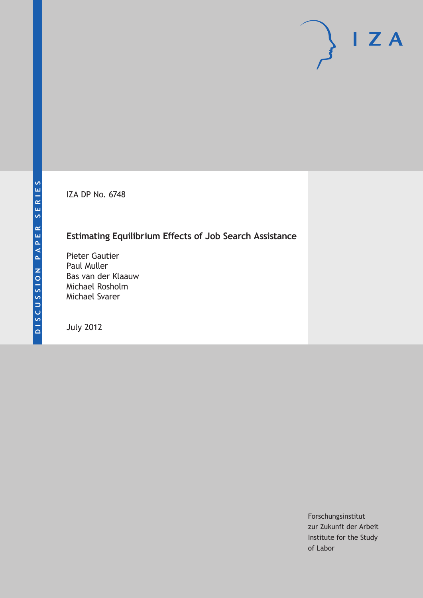IZA DP No. 6748

# **Estimating Equilibrium Effects of Job Search Assistance**

Pieter Gautier Paul Muller Bas van der Klaauw Michael Rosholm Michael Svarer

July 2012

Forschungsinstitut zur Zukunft der Arbeit Institute for the Study of Labor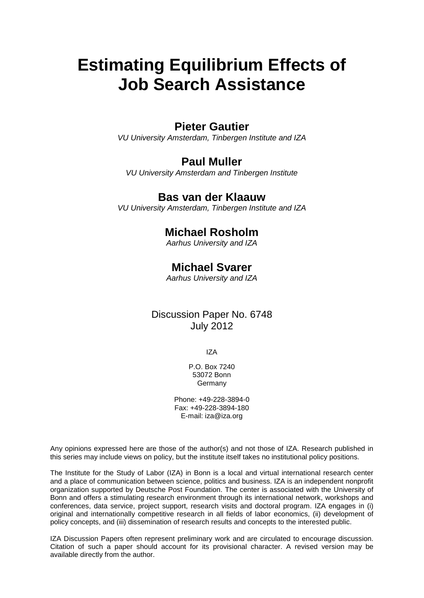# **Estimating Equilibrium Effects of Job Search Assistance**

### **Pieter Gautier**

*VU University Amsterdam, Tinbergen Institute and IZA*

## **Paul Muller**

*VU University Amsterdam and Tinbergen Institute*

## **Bas van der Klaauw**

*VU University Amsterdam, Tinbergen Institute and IZA*

# **Michael Rosholm**

*Aarhus University and IZA*

# **Michael Svarer**

*Aarhus University and IZA*

### Discussion Paper No. 6748 July 2012

IZA

P.O. Box 7240 53072 Bonn Germany

Phone: +49-228-3894-0 Fax: +49-228-3894-180 E-mail: [iza@iza.org](mailto:iza@iza.org)

Any opinions expressed here are those of the author(s) and not those of IZA. Research published in this series may include views on policy, but the institute itself takes no institutional policy positions.

The Institute for the Study of Labor (IZA) in Bonn is a local and virtual international research center and a place of communication between science, politics and business. IZA is an independent nonprofit organization supported by Deutsche Post Foundation. The center is associated with the University of Bonn and offers a stimulating research environment through its international network, workshops and conferences, data service, project support, research visits and doctoral program. IZA engages in (i) original and internationally competitive research in all fields of labor economics, (ii) development of policy concepts, and (iii) dissemination of research results and concepts to the interested public.

IZA Discussion Papers often represent preliminary work and are circulated to encourage discussion. Citation of such a paper should account for its provisional character. A revised version may be available directly from the author.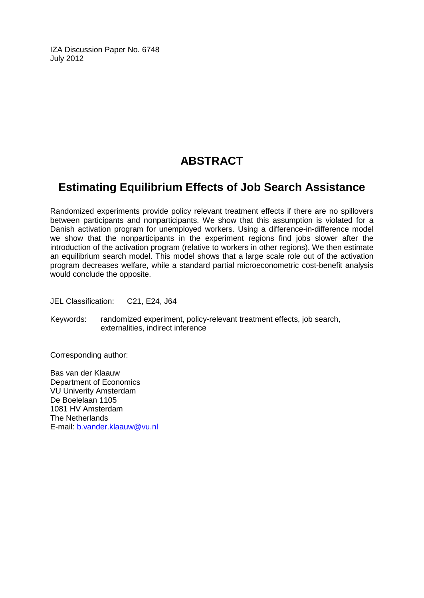IZA Discussion Paper No. 6748 July 2012

# **ABSTRACT**

# **Estimating Equilibrium Effects of Job Search Assistance**

Randomized experiments provide policy relevant treatment effects if there are no spillovers between participants and nonparticipants. We show that this assumption is violated for a Danish activation program for unemployed workers. Using a difference-in-difference model we show that the nonparticipants in the experiment regions find jobs slower after the introduction of the activation program (relative to workers in other regions). We then estimate an equilibrium search model. This model shows that a large scale role out of the activation program decreases welfare, while a standard partial microeconometric cost-benefit analysis would conclude the opposite.

JEL Classification: C21, E24, J64

Keywords: randomized experiment, policy-relevant treatment effects, job search, externalities, indirect inference

Corresponding author:

Bas van der Klaauw Department of Economics VU Univerity Amsterdam De Boelelaan 1105 1081 HV Amsterdam The Netherlands E-mail: [b.vander.klaauw@vu.nl](mailto:b.vander.klaauw@vu.nl)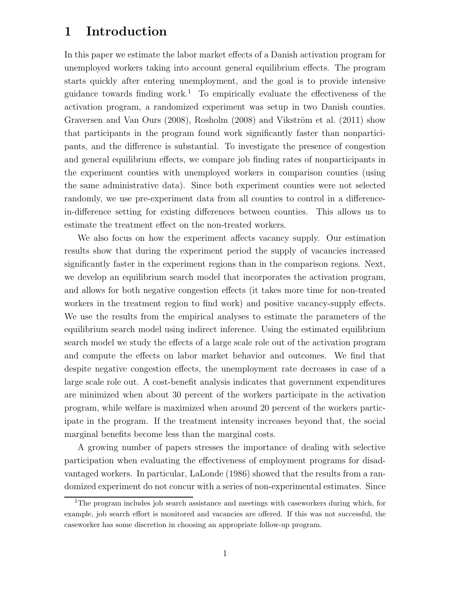# 1 Introduction

In this paper we estimate the labor market effects of a Danish activation program for unemployed workers taking into account general equilibrium effects. The program starts quickly after entering unemployment, and the goal is to provide intensive guidance towards finding work.<sup>1</sup> To empirically evaluate the effectiveness of the activation program, a randomized experiment was setup in two Danish counties. Graversen and Van Ours (2008), Rosholm (2008) and Vikström et al. (2011) show that participants in the program found work significantly faster than nonparticipants, and the difference is substantial. To investigate the presence of congestion and general equilibrium effects, we compare job finding rates of nonparticipants in the experiment counties with unemployed workers in comparison counties (using the same administrative data). Since both experiment counties were not selected randomly, we use pre-experiment data from all counties to control in a differencein-difference setting for existing differences between counties. This allows us to estimate the treatment effect on the non-treated workers.

We also focus on how the experiment affects vacancy supply. Our estimation results show that during the experiment period the supply of vacancies increased significantly faster in the experiment regions than in the comparison regions. Next, we develop an equilibrium search model that incorporates the activation program, and allows for both negative congestion effects (it takes more time for non-treated workers in the treatment region to find work) and positive vacancy-supply effects. We use the results from the empirical analyses to estimate the parameters of the equilibrium search model using indirect inference. Using the estimated equilibrium search model we study the effects of a large scale role out of the activation program and compute the effects on labor market behavior and outcomes. We find that despite negative congestion effects, the unemployment rate decreases in case of a large scale role out. A cost-benefit analysis indicates that government expenditures are minimized when about 30 percent of the workers participate in the activation program, while welfare is maximized when around 20 percent of the workers participate in the program. If the treatment intensity increases beyond that, the social marginal benefits become less than the marginal costs.

A growing number of papers stresses the importance of dealing with selective participation when evaluating the effectiveness of employment programs for disadvantaged workers. In particular, LaLonde (1986) showed that the results from a randomized experiment do not concur with a series of non-experimental estimates. Since

<sup>&</sup>lt;sup>1</sup>The program includes job search assistance and meetings with caseworkers during which, for example, job search effort is monitored and vacancies are offered. If this was not successful, the caseworker has some discretion in choosing an appropriate follow-up program.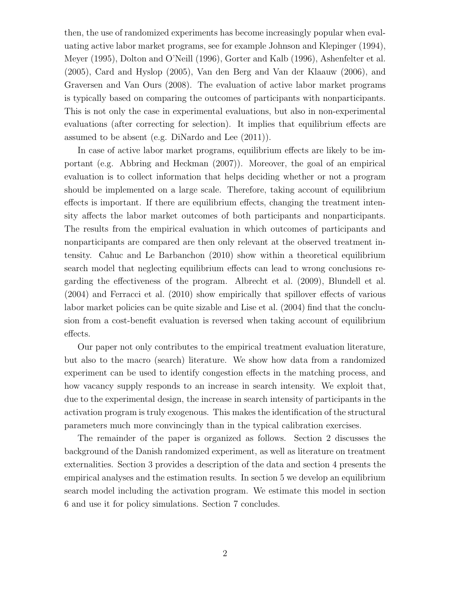then, the use of randomized experiments has become increasingly popular when evaluating active labor market programs, see for example Johnson and Klepinger (1994), Meyer (1995), Dolton and O'Neill (1996), Gorter and Kalb (1996), Ashenfelter et al. (2005), Card and Hyslop (2005), Van den Berg and Van der Klaauw (2006), and Graversen and Van Ours (2008). The evaluation of active labor market programs is typically based on comparing the outcomes of participants with nonparticipants. This is not only the case in experimental evaluations, but also in non-experimental evaluations (after correcting for selection). It implies that equilibrium effects are assumed to be absent (e.g. DiNardo and Lee (2011)).

In case of active labor market programs, equilibrium effects are likely to be important (e.g. Abbring and Heckman (2007)). Moreover, the goal of an empirical evaluation is to collect information that helps deciding whether or not a program should be implemented on a large scale. Therefore, taking account of equilibrium effects is important. If there are equilibrium effects, changing the treatment intensity affects the labor market outcomes of both participants and nonparticipants. The results from the empirical evaluation in which outcomes of participants and nonparticipants are compared are then only relevant at the observed treatment intensity. Cahuc and Le Barbanchon (2010) show within a theoretical equilibrium search model that neglecting equilibrium effects can lead to wrong conclusions regarding the effectiveness of the program. Albrecht et al. (2009), Blundell et al. (2004) and Ferracci et al. (2010) show empirically that spillover effects of various labor market policies can be quite sizable and Lise et al. (2004) find that the conclusion from a cost-benefit evaluation is reversed when taking account of equilibrium effects.

Our paper not only contributes to the empirical treatment evaluation literature, but also to the macro (search) literature. We show how data from a randomized experiment can be used to identify congestion effects in the matching process, and how vacancy supply responds to an increase in search intensity. We exploit that, due to the experimental design, the increase in search intensity of participants in the activation program is truly exogenous. This makes the identification of the structural parameters much more convincingly than in the typical calibration exercises.

The remainder of the paper is organized as follows. Section 2 discusses the background of the Danish randomized experiment, as well as literature on treatment externalities. Section 3 provides a description of the data and section 4 presents the empirical analyses and the estimation results. In section 5 we develop an equilibrium search model including the activation program. We estimate this model in section 6 and use it for policy simulations. Section 7 concludes.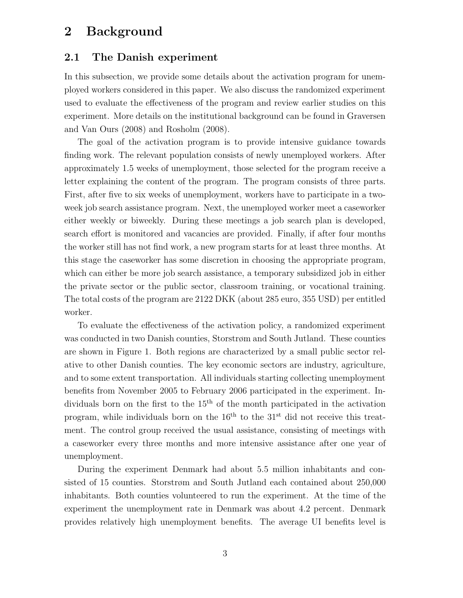# 2 Background

#### 2.1 The Danish experiment

In this subsection, we provide some details about the activation program for unemployed workers considered in this paper. We also discuss the randomized experiment used to evaluate the effectiveness of the program and review earlier studies on this experiment. More details on the institutional background can be found in Graversen and Van Ours (2008) and Rosholm (2008).

The goal of the activation program is to provide intensive guidance towards finding work. The relevant population consists of newly unemployed workers. After approximately 1.5 weeks of unemployment, those selected for the program receive a letter explaining the content of the program. The program consists of three parts. First, after five to six weeks of unemployment, workers have to participate in a twoweek job search assistance program. Next, the unemployed worker meet a caseworker either weekly or biweekly. During these meetings a job search plan is developed, search effort is monitored and vacancies are provided. Finally, if after four months the worker still has not find work, a new program starts for at least three months. At this stage the caseworker has some discretion in choosing the appropriate program, which can either be more job search assistance, a temporary subsidized job in either the private sector or the public sector, classroom training, or vocational training. The total costs of the program are 2122 DKK (about 285 euro, 355 USD) per entitled worker.

To evaluate the effectiveness of the activation policy, a randomized experiment was conducted in two Danish counties, Storstrøm and South Jutland. These counties are shown in Figure 1. Both regions are characterized by a small public sector relative to other Danish counties. The key economic sectors are industry, agriculture, and to some extent transportation. All individuals starting collecting unemployment benefits from November 2005 to February 2006 participated in the experiment. Individuals born on the first to the  $15<sup>th</sup>$  of the month participated in the activation program, while individuals born on the  $16<sup>th</sup>$  to the  $31<sup>st</sup>$  did not receive this treatment. The control group received the usual assistance, consisting of meetings with a caseworker every three months and more intensive assistance after one year of unemployment.

During the experiment Denmark had about 5.5 million inhabitants and consisted of 15 counties. Storstrøm and South Jutland each contained about 250,000 inhabitants. Both counties volunteered to run the experiment. At the time of the experiment the unemployment rate in Denmark was about 4.2 percent. Denmark provides relatively high unemployment benefits. The average UI benefits level is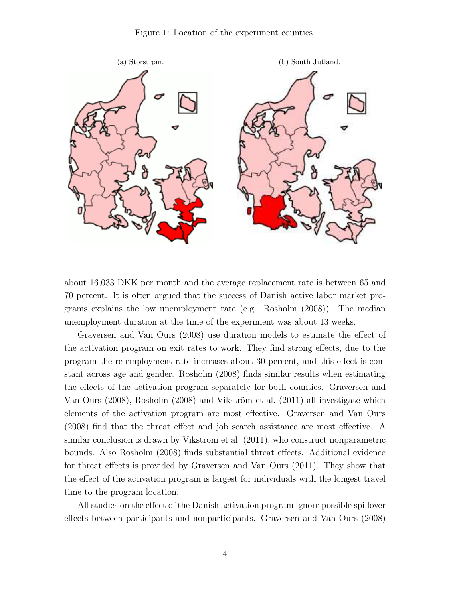Figure 1: Location of the experiment counties.



about 16,033 DKK per month and the average replacement rate is between 65 and 70 percent. It is often argued that the success of Danish active labor market programs explains the low unemployment rate (e.g. Rosholm (2008)). The median unemployment duration at the time of the experiment was about 13 weeks.

Graversen and Van Ours (2008) use duration models to estimate the effect of the activation program on exit rates to work. They find strong effects, due to the program the re-employment rate increases about 30 percent, and this effect is constant across age and gender. Rosholm (2008) finds similar results when estimating the effects of the activation program separately for both counties. Graversen and Van Ours  $(2008)$ , Rosholm  $(2008)$  and Vikström et al.  $(2011)$  all investigate which elements of the activation program are most effective. Graversen and Van Ours (2008) find that the threat effect and job search assistance are most effective. A similar conclusion is drawn by Vikström et al.  $(2011)$ , who construct nonparametric bounds. Also Rosholm (2008) finds substantial threat effects. Additional evidence for threat effects is provided by Graversen and Van Ours (2011). They show that the effect of the activation program is largest for individuals with the longest travel time to the program location.

All studies on the effect of the Danish activation program ignore possible spillover effects between participants and nonparticipants. Graversen and Van Ours (2008)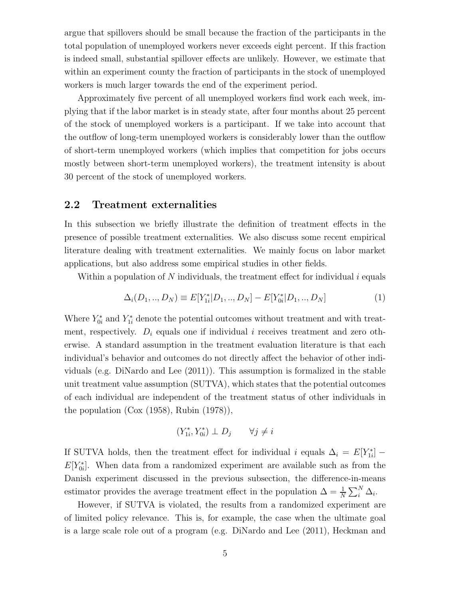argue that spillovers should be small because the fraction of the participants in the total population of unemployed workers never exceeds eight percent. If this fraction is indeed small, substantial spillover effects are unlikely. However, we estimate that within an experiment county the fraction of participants in the stock of unemployed workers is much larger towards the end of the experiment period.

Approximately five percent of all unemployed workers find work each week, implying that if the labor market is in steady state, after four months about 25 percent of the stock of unemployed workers is a participant. If we take into account that the outflow of long-term unemployed workers is considerably lower than the outflow of short-term unemployed workers (which implies that competition for jobs occurs mostly between short-term unemployed workers), the treatment intensity is about 30 percent of the stock of unemployed workers.

### 2.2 Treatment externalities

In this subsection we briefly illustrate the definition of treatment effects in the presence of possible treatment externalities. We also discuss some recent empirical literature dealing with treatment externalities. We mainly focus on labor market applications, but also address some empirical studies in other fields.

Within a population of N individuals, the treatment effect for individual  $i$  equals

$$
\Delta_i(D_1,..,D_N) \equiv E[Y_{1i}^*|D_1,..,D_N] - E[Y_{0i}^*|D_1,..,D_N]
$$
\n(1)

Where  $Y_{0i}^*$  and  $Y_{1i}^*$  denote the potential outcomes without treatment and with treatment, respectively.  $D_i$  equals one if individual i receives treatment and zero otherwise. A standard assumption in the treatment evaluation literature is that each individual's behavior and outcomes do not directly affect the behavior of other individuals (e.g. DiNardo and Lee (2011)). This assumption is formalized in the stable unit treatment value assumption (SUTVA), which states that the potential outcomes of each individual are independent of the treatment status of other individuals in the population (Cox (1958), Rubin (1978)),

$$
(Y_{1i}^*, Y_{0i}^*) \perp D_j \qquad \forall j \neq i
$$

If SUTVA holds, then the treatment effect for individual i equals  $\Delta_i = E[Y^*_{1i}]$  $E[Y_{0i}]$ . When data from a randomized experiment are available such as from the Danish experiment discussed in the previous subsection, the difference-in-means estimator provides the average treatment effect in the population  $\Delta = \frac{1}{N} \sum_{i}^{N} \Delta_i$ .

However, if SUTVA is violated, the results from a randomized experiment are of limited policy relevance. This is, for example, the case when the ultimate goal is a large scale role out of a program (e.g. DiNardo and Lee (2011), Heckman and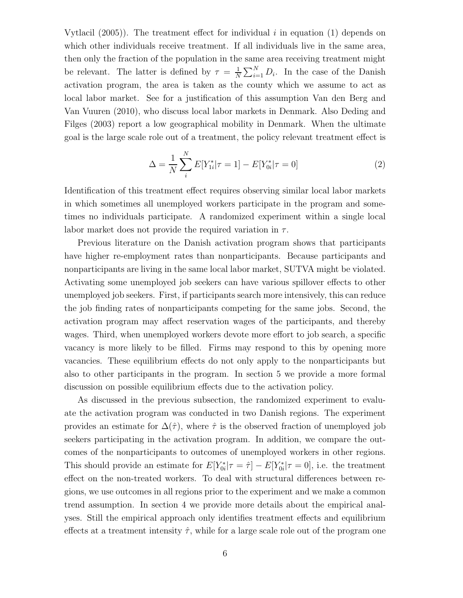Vytlacil  $(2005)$ ). The treatment effect for individual i in equation  $(1)$  depends on which other individuals receive treatment. If all individuals live in the same area, then only the fraction of the population in the same area receiving treatment might be relevant. The latter is defined by  $\tau = \frac{1}{N}$  $\frac{1}{N} \sum_{i=1}^{N} D_i$ . In the case of the Danish activation program, the area is taken as the county which we assume to act as local labor market. See for a justification of this assumption Van den Berg and Van Vuuren (2010), who discuss local labor markets in Denmark. Also Deding and Filges (2003) report a low geographical mobility in Denmark. When the ultimate goal is the large scale role out of a treatment, the policy relevant treatment effect is

$$
\Delta = \frac{1}{N} \sum_{i}^{N} E[Y_{1i}^* | \tau = 1] - E[Y_{0i}^* | \tau = 0]
$$
\n(2)

Identification of this treatment effect requires observing similar local labor markets in which sometimes all unemployed workers participate in the program and sometimes no individuals participate. A randomized experiment within a single local labor market does not provide the required variation in  $\tau$ .

Previous literature on the Danish activation program shows that participants have higher re-employment rates than nonparticipants. Because participants and nonparticipants are living in the same local labor market, SUTVA might be violated. Activating some unemployed job seekers can have various spillover effects to other unemployed job seekers. First, if participants search more intensively, this can reduce the job finding rates of nonparticipants competing for the same jobs. Second, the activation program may affect reservation wages of the participants, and thereby wages. Third, when unemployed workers devote more effort to job search, a specific vacancy is more likely to be filled. Firms may respond to this by opening more vacancies. These equilibrium effects do not only apply to the nonparticipants but also to other participants in the program. In section 5 we provide a more formal discussion on possible equilibrium effects due to the activation policy.

As discussed in the previous subsection, the randomized experiment to evaluate the activation program was conducted in two Danish regions. The experiment provides an estimate for  $\Delta(\hat{\tau})$ , where  $\hat{\tau}$  is the observed fraction of unemployed job seekers participating in the activation program. In addition, we compare the outcomes of the nonparticipants to outcomes of unemployed workers in other regions. This should provide an estimate for  $E[Y^*_{0i} | \tau = \hat{\tau}] - E[Y^*_{0i} | \tau = 0]$ , i.e. the treatment effect on the non-treated workers. To deal with structural differences between regions, we use outcomes in all regions prior to the experiment and we make a common trend assumption. In section 4 we provide more details about the empirical analyses. Still the empirical approach only identifies treatment effects and equilibrium effects at a treatment intensity  $\hat{\tau}$ , while for a large scale role out of the program one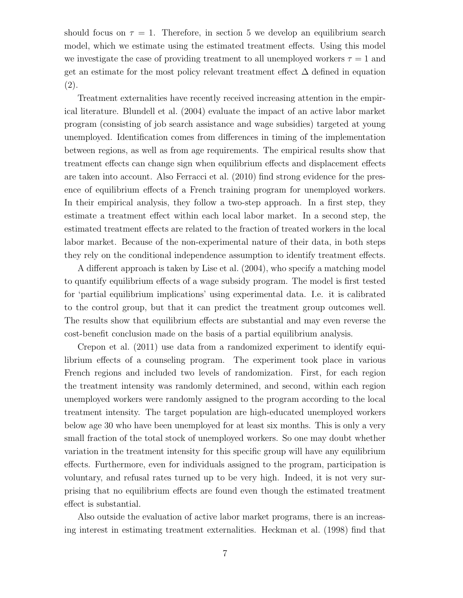should focus on  $\tau = 1$ . Therefore, in section 5 we develop an equilibrium search model, which we estimate using the estimated treatment effects. Using this model we investigate the case of providing treatment to all unemployed workers  $\tau = 1$  and get an estimate for the most policy relevant treatment effect  $\Delta$  defined in equation (2).

Treatment externalities have recently received increasing attention in the empirical literature. Blundell et al. (2004) evaluate the impact of an active labor market program (consisting of job search assistance and wage subsidies) targeted at young unemployed. Identification comes from differences in timing of the implementation between regions, as well as from age requirements. The empirical results show that treatment effects can change sign when equilibrium effects and displacement effects are taken into account. Also Ferracci et al. (2010) find strong evidence for the presence of equilibrium effects of a French training program for unemployed workers. In their empirical analysis, they follow a two-step approach. In a first step, they estimate a treatment effect within each local labor market. In a second step, the estimated treatment effects are related to the fraction of treated workers in the local labor market. Because of the non-experimental nature of their data, in both steps they rely on the conditional independence assumption to identify treatment effects.

A different approach is taken by Lise et al. (2004), who specify a matching model to quantify equilibrium effects of a wage subsidy program. The model is first tested for 'partial equilibrium implications' using experimental data. I.e. it is calibrated to the control group, but that it can predict the treatment group outcomes well. The results show that equilibrium effects are substantial and may even reverse the cost-benefit conclusion made on the basis of a partial equilibrium analysis.

Crepon et al. (2011) use data from a randomized experiment to identify equilibrium effects of a counseling program. The experiment took place in various French regions and included two levels of randomization. First, for each region the treatment intensity was randomly determined, and second, within each region unemployed workers were randomly assigned to the program according to the local treatment intensity. The target population are high-educated unemployed workers below age 30 who have been unemployed for at least six months. This is only a very small fraction of the total stock of unemployed workers. So one may doubt whether variation in the treatment intensity for this specific group will have any equilibrium effects. Furthermore, even for individuals assigned to the program, participation is voluntary, and refusal rates turned up to be very high. Indeed, it is not very surprising that no equilibrium effects are found even though the estimated treatment effect is substantial.

Also outside the evaluation of active labor market programs, there is an increasing interest in estimating treatment externalities. Heckman et al. (1998) find that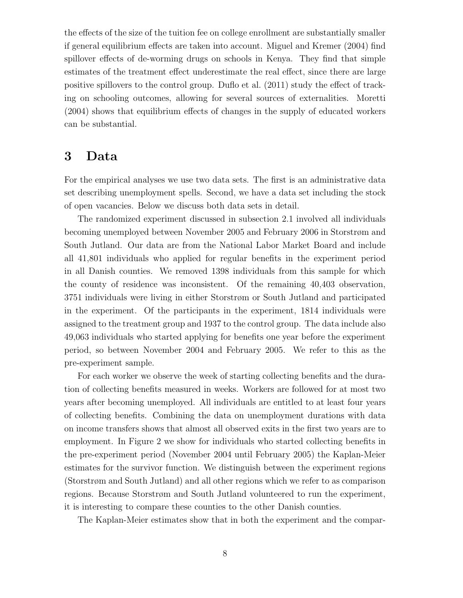the effects of the size of the tuition fee on college enrollment are substantially smaller if general equilibrium effects are taken into account. Miguel and Kremer (2004) find spillover effects of de-worming drugs on schools in Kenya. They find that simple estimates of the treatment effect underestimate the real effect, since there are large positive spillovers to the control group. Duflo et al. (2011) study the effect of tracking on schooling outcomes, allowing for several sources of externalities. Moretti (2004) shows that equilibrium effects of changes in the supply of educated workers can be substantial.

## 3 Data

For the empirical analyses we use two data sets. The first is an administrative data set describing unemployment spells. Second, we have a data set including the stock of open vacancies. Below we discuss both data sets in detail.

The randomized experiment discussed in subsection 2.1 involved all individuals becoming unemployed between November 2005 and February 2006 in Storstrøm and South Jutland. Our data are from the National Labor Market Board and include all 41,801 individuals who applied for regular benefits in the experiment period in all Danish counties. We removed 1398 individuals from this sample for which the county of residence was inconsistent. Of the remaining 40,403 observation, 3751 individuals were living in either Storstrøm or South Jutland and participated in the experiment. Of the participants in the experiment, 1814 individuals were assigned to the treatment group and 1937 to the control group. The data include also 49,063 individuals who started applying for benefits one year before the experiment period, so between November 2004 and February 2005. We refer to this as the pre-experiment sample.

For each worker we observe the week of starting collecting benefits and the duration of collecting benefits measured in weeks. Workers are followed for at most two years after becoming unemployed. All individuals are entitled to at least four years of collecting benefits. Combining the data on unemployment durations with data on income transfers shows that almost all observed exits in the first two years are to employment. In Figure 2 we show for individuals who started collecting benefits in the pre-experiment period (November 2004 until February 2005) the Kaplan-Meier estimates for the survivor function. We distinguish between the experiment regions (Storstrøm and South Jutland) and all other regions which we refer to as comparison regions. Because Storstrøm and South Jutland volunteered to run the experiment, it is interesting to compare these counties to the other Danish counties.

The Kaplan-Meier estimates show that in both the experiment and the compar-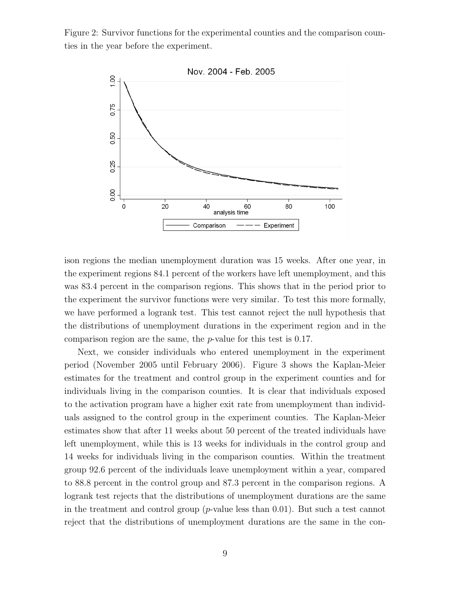Figure 2: Survivor functions for the experimental counties and the comparison counties in the year before the experiment.



ison regions the median unemployment duration was 15 weeks. After one year, in the experiment regions 84.1 percent of the workers have left unemployment, and this was 83.4 percent in the comparison regions. This shows that in the period prior to the experiment the survivor functions were very similar. To test this more formally, we have performed a logrank test. This test cannot reject the null hypothesis that the distributions of unemployment durations in the experiment region and in the comparison region are the same, the p-value for this test is 0.17.

Next, we consider individuals who entered unemployment in the experiment period (November 2005 until February 2006). Figure 3 shows the Kaplan-Meier estimates for the treatment and control group in the experiment counties and for individuals living in the comparison counties. It is clear that individuals exposed to the activation program have a higher exit rate from unemployment than individuals assigned to the control group in the experiment counties. The Kaplan-Meier estimates show that after 11 weeks about 50 percent of the treated individuals have left unemployment, while this is 13 weeks for individuals in the control group and 14 weeks for individuals living in the comparison counties. Within the treatment group 92.6 percent of the individuals leave unemployment within a year, compared to 88.8 percent in the control group and 87.3 percent in the comparison regions. A logrank test rejects that the distributions of unemployment durations are the same in the treatment and control group  $(p$ -value less than 0.01). But such a test cannot reject that the distributions of unemployment durations are the same in the con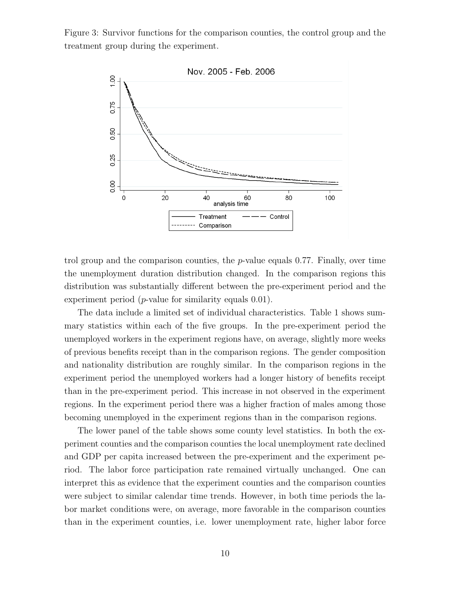Figure 3: Survivor functions for the comparison counties, the control group and the treatment group during the experiment.



trol group and the comparison counties, the  $p$ -value equals 0.77. Finally, over time the unemployment duration distribution changed. In the comparison regions this distribution was substantially different between the pre-experiment period and the experiment period  $(p$ -value for similarity equals  $(0.01)$ .

The data include a limited set of individual characteristics. Table 1 shows summary statistics within each of the five groups. In the pre-experiment period the unemployed workers in the experiment regions have, on average, slightly more weeks of previous benefits receipt than in the comparison regions. The gender composition and nationality distribution are roughly similar. In the comparison regions in the experiment period the unemployed workers had a longer history of benefits receipt than in the pre-experiment period. This increase in not observed in the experiment regions. In the experiment period there was a higher fraction of males among those becoming unemployed in the experiment regions than in the comparison regions.

The lower panel of the table shows some county level statistics. In both the experiment counties and the comparison counties the local unemployment rate declined and GDP per capita increased between the pre-experiment and the experiment period. The labor force participation rate remained virtually unchanged. One can interpret this as evidence that the experiment counties and the comparison counties were subject to similar calendar time trends. However, in both time periods the labor market conditions were, on average, more favorable in the comparison counties than in the experiment counties, i.e. lower unemployment rate, higher labor force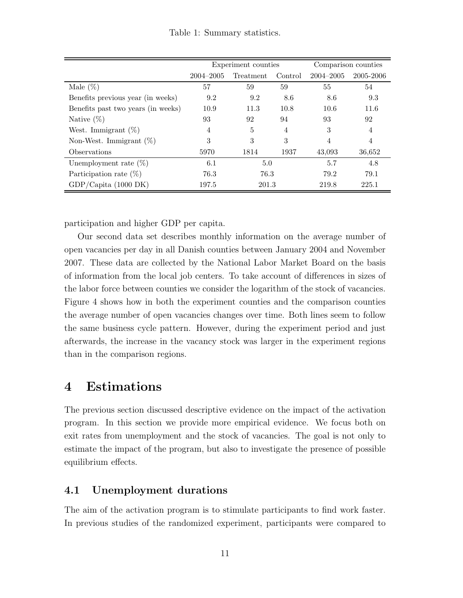|  | Table 1: Summary statistics. |  |
|--|------------------------------|--|
|--|------------------------------|--|

|                                    |               | Experiment counties | Comparison counties |               |                |
|------------------------------------|---------------|---------------------|---------------------|---------------|----------------|
|                                    | $2004 - 2005$ | Treatment           | Control             | $2004 - 2005$ | 2005-2006      |
| Male $(\%)$                        | 57            | 59                  | 59                  | 55            | 54             |
| Benefits previous year (in weeks)  | 9.2           | 9.2                 | 8.6                 | 8.6           | 9.3            |
| Benefits past two years (in weeks) | 10.9          | 11.3                | 10.8                | 10.6          | 11.6           |
| Native $(\%)$                      | 93            | 92                  | 94                  | 93            | 92             |
| West. Immigrant $(\%)$             | 4             | 5                   | 4                   | 3             | $\overline{4}$ |
| Non-West. Immigrant $(\%)$         | 3             | 3                   | 3                   | 4             | $\overline{4}$ |
| Observations                       | 5970          | 1814                | 1937                | 43,093        | 36,652         |
| Unemployment rate $(\%)$           | 6.1           | 5.0                 |                     | 5.7           | 4.8            |
| Participation rate $(\%)$          | 76.3          | 76.3                |                     | 79.2          | 79.1           |
| GDP/Capita (1000 DK)               | 197.5         | 201.3               |                     | 219.8         | 225.1          |

participation and higher GDP per capita.

Our second data set describes monthly information on the average number of open vacancies per day in all Danish counties between January 2004 and November 2007. These data are collected by the National Labor Market Board on the basis of information from the local job centers. To take account of differences in sizes of the labor force between counties we consider the logarithm of the stock of vacancies. Figure 4 shows how in both the experiment counties and the comparison counties the average number of open vacancies changes over time. Both lines seem to follow the same business cycle pattern. However, during the experiment period and just afterwards, the increase in the vacancy stock was larger in the experiment regions than in the comparison regions.

# 4 Estimations

The previous section discussed descriptive evidence on the impact of the activation program. In this section we provide more empirical evidence. We focus both on exit rates from unemployment and the stock of vacancies. The goal is not only to estimate the impact of the program, but also to investigate the presence of possible equilibrium effects.

### 4.1 Unemployment durations

The aim of the activation program is to stimulate participants to find work faster. In previous studies of the randomized experiment, participants were compared to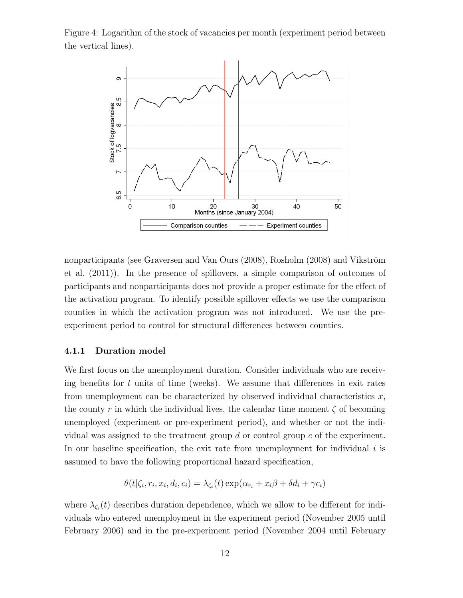Figure 4: Logarithm of the stock of vacancies per month (experiment period between the vertical lines).



nonparticipants (see Graversen and Van Ours  $(2008)$ , Rosholm  $(2008)$  and Vikström et al. (2011)). In the presence of spillovers, a simple comparison of outcomes of participants and nonparticipants does not provide a proper estimate for the effect of the activation program. To identify possible spillover effects we use the comparison counties in which the activation program was not introduced. We use the preexperiment period to control for structural differences between counties.

#### 4.1.1 Duration model

We first focus on the unemployment duration. Consider individuals who are receiving benefits for  $t$  units of time (weeks). We assume that differences in exit rates from unemployment can be characterized by observed individual characteristics  $x$ , the county r in which the individual lives, the calendar time moment  $\zeta$  of becoming unemployed (experiment or pre-experiment period), and whether or not the individual was assigned to the treatment group  $d$  or control group  $c$  of the experiment. In our baseline specification, the exit rate from unemployment for individual  $i$  is assumed to have the following proportional hazard specification,

$$
\theta(t|\zeta_i, r_i, x_i, d_i, c_i) = \lambda_{\zeta_i}(t) \exp(\alpha_{r_i} + x_i \beta + \delta d_i + \gamma c_i)
$$

where  $\lambda_{\zeta_i}(t)$  describes duration dependence, which we allow to be different for individuals who entered unemployment in the experiment period (November 2005 until February 2006) and in the pre-experiment period (November 2004 until February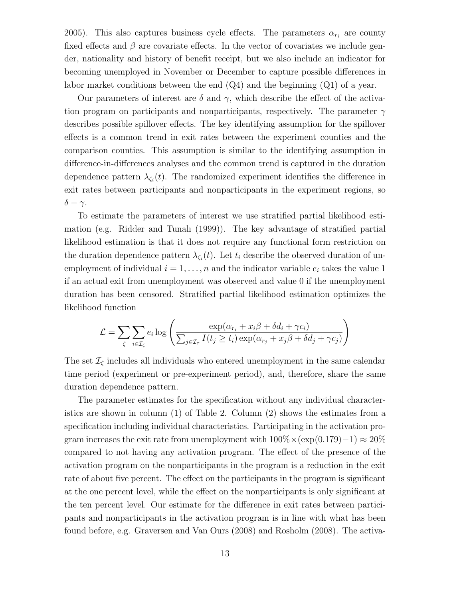2005). This also captures business cycle effects. The parameters  $\alpha_{r_i}$  are county fixed effects and  $\beta$  are covariate effects. In the vector of covariates we include gender, nationality and history of benefit receipt, but we also include an indicator for becoming unemployed in November or December to capture possible differences in labor market conditions between the end (Q4) and the beginning (Q1) of a year.

Our parameters of interest are  $\delta$  and  $\gamma$ , which describe the effect of the activation program on participants and nonparticipants, respectively. The parameter  $\gamma$ describes possible spillover effects. The key identifying assumption for the spillover effects is a common trend in exit rates between the experiment counties and the comparison counties. This assumption is similar to the identifying assumption in difference-in-differences analyses and the common trend is captured in the duration dependence pattern  $\lambda_{\zeta_i}(t)$ . The randomized experiment identifies the difference in exit rates between participants and nonparticipants in the experiment regions, so  $\delta - \gamma$ .

To estimate the parameters of interest we use stratified partial likelihood estimation (e.g. Ridder and Tunalı (1999)). The key advantage of stratified partial likelihood estimation is that it does not require any functional form restriction on the duration dependence pattern  $\lambda_{\zeta_i}(t)$ . Let  $t_i$  describe the observed duration of unemployment of individual  $i = 1, \ldots, n$  and the indicator variable  $e_i$  takes the value 1 if an actual exit from unemployment was observed and value 0 if the unemployment duration has been censored. Stratified partial likelihood estimation optimizes the likelihood function

$$
\mathcal{L} = \sum_{\zeta} \sum_{i \in \mathcal{I}_{\zeta}} e_i \log \left( \frac{\exp(\alpha_{r_i} + x_i \beta + \delta d_i + \gamma c_i)}{\sum_{j \in \mathcal{I}_{\tau}} I(t_j \ge t_i) \exp(\alpha_{r_j} + x_j \beta + \delta d_j + \gamma c_j)} \right)
$$

The set  $\mathcal{I}_{\zeta}$  includes all individuals who entered unemployment in the same calendar time period (experiment or pre-experiment period), and, therefore, share the same duration dependence pattern.

The parameter estimates for the specification without any individual characteristics are shown in column (1) of Table 2. Column (2) shows the estimates from a specification including individual characteristics. Participating in the activation program increases the exit rate from unemployment with  $100\% \times (exp(0.179)-1) \approx 20\%$ compared to not having any activation program. The effect of the presence of the activation program on the nonparticipants in the program is a reduction in the exit rate of about five percent. The effect on the participants in the program is significant at the one percent level, while the effect on the nonparticipants is only significant at the ten percent level. Our estimate for the difference in exit rates between participants and nonparticipants in the activation program is in line with what has been found before, e.g. Graversen and Van Ours (2008) and Rosholm (2008). The activa-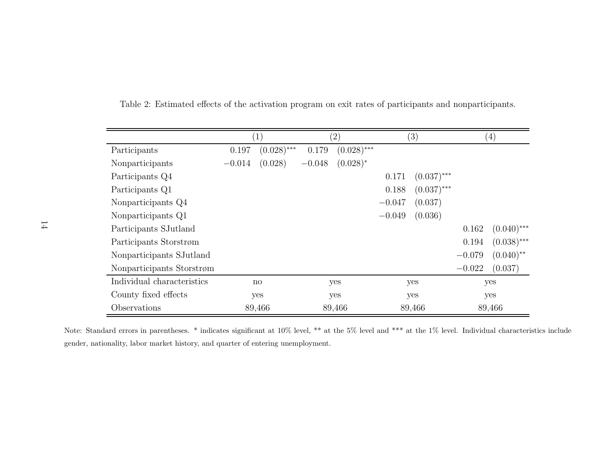|                            |          | $\mathbf{1}$           |          | $\left( 2\right)$ |          | (3)           |          | $\left( 4\right)$       |
|----------------------------|----------|------------------------|----------|-------------------|----------|---------------|----------|-------------------------|
| Participants               | 0.197    | $(0.028)$ ***          | 0.179    | $(0.028)$ ***     |          |               |          |                         |
| Nonparticipants            | $-0.014$ | (0.028)                | $-0.048$ | $(0.028)^*$       |          |               |          |                         |
| Participants Q4            |          |                        |          |                   | 0.171    | $(0.037)$ *** |          |                         |
| Participants Q1            |          |                        |          |                   | 0.188    | $(0.037)$ *** |          |                         |
| Nonparticipants Q4         |          |                        |          |                   | $-0.047$ | (0.037)       |          |                         |
| Nonparticipants Q1         |          |                        |          |                   | $-0.049$ | (0.036)       |          |                         |
| Participants SJutland      |          |                        |          |                   |          |               | 0.162    | $(0.040)$ ***           |
| Participants Storstrøm     |          |                        |          |                   |          |               | 0.194    | $(0.038)$ ***           |
| Nonparticipants SJutland   |          |                        |          |                   |          |               | $-0.079$ | $(0.040)$ <sup>**</sup> |
| Nonparticipants Storstrøm  |          |                        |          |                   |          |               | $-0.022$ | (0.037)                 |
| Individual characteristics |          | $\mathbf{n}\mathbf{o}$ |          | yes               |          | yes           |          | yes                     |
| County fixed effects       |          | yes                    |          | yes               |          | yes           |          | yes                     |
| Observations               |          | 89,466                 |          | 89,466            |          | 89,466        |          | 89,466                  |

Table 2: Estimated effects of the activation program on exit rates of participants and nonparticipants.

Note: Standard errors in parentheses. \* indicates significant at 10% level, \*\* at the 5% level and \*\*\* at the 1% level. Individual characteristics include gender, nationality, labor market history, and quarter of entering unemployment.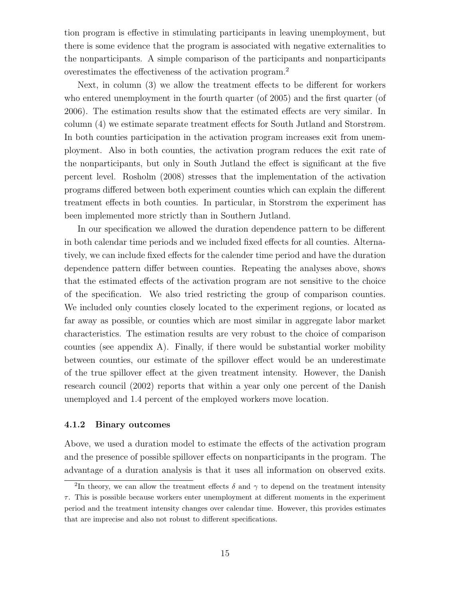tion program is effective in stimulating participants in leaving unemployment, but there is some evidence that the program is associated with negative externalities to the nonparticipants. A simple comparison of the participants and nonparticipants overestimates the effectiveness of the activation program.<sup>2</sup>

Next, in column (3) we allow the treatment effects to be different for workers who entered unemployment in the fourth quarter (of 2005) and the first quarter (of 2006). The estimation results show that the estimated effects are very similar. In column (4) we estimate separate treatment effects for South Jutland and Storstrøm. In both counties participation in the activation program increases exit from unemployment. Also in both counties, the activation program reduces the exit rate of the nonparticipants, but only in South Jutland the effect is significant at the five percent level. Rosholm (2008) stresses that the implementation of the activation programs differed between both experiment counties which can explain the different treatment effects in both counties. In particular, in Storstrøm the experiment has been implemented more strictly than in Southern Jutland.

In our specification we allowed the duration dependence pattern to be different in both calendar time periods and we included fixed effects for all counties. Alternatively, we can include fixed effects for the calender time period and have the duration dependence pattern differ between counties. Repeating the analyses above, shows that the estimated effects of the activation program are not sensitive to the choice of the specification. We also tried restricting the group of comparison counties. We included only counties closely located to the experiment regions, or located as far away as possible, or counties which are most similar in aggregate labor market characteristics. The estimation results are very robust to the choice of comparison counties (see appendix A). Finally, if there would be substantial worker mobility between counties, our estimate of the spillover effect would be an underestimate of the true spillover effect at the given treatment intensity. However, the Danish research council (2002) reports that within a year only one percent of the Danish unemployed and 1.4 percent of the employed workers move location.

#### 4.1.2 Binary outcomes

Above, we used a duration model to estimate the effects of the activation program and the presence of possible spillover effects on nonparticipants in the program. The advantage of a duration analysis is that it uses all information on observed exits.

<sup>&</sup>lt;sup>2</sup>In theory, we can allow the treatment effects  $\delta$  and  $\gamma$  to depend on the treatment intensity  $\tau$ . This is possible because workers enter unemployment at different moments in the experiment period and the treatment intensity changes over calendar time. However, this provides estimates that are imprecise and also not robust to different specifications.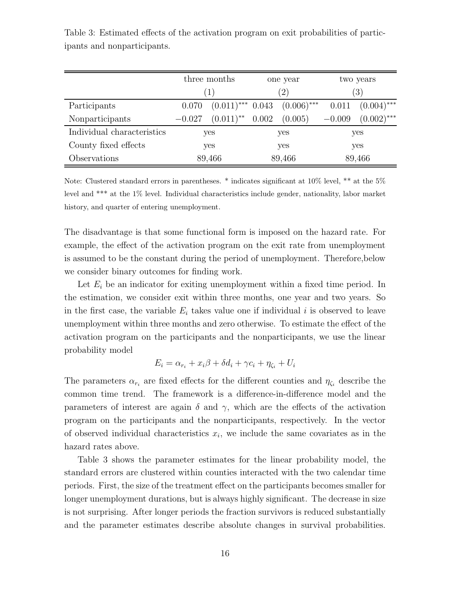|                            |          | three months            |        | one year      | two years        |               |  |
|----------------------------|----------|-------------------------|--------|---------------|------------------|---------------|--|
|                            |          | (1)                     |        | $^{\prime}2)$ | $\left(3\right)$ |               |  |
| Participants               | 0.070    | $(0.011)$ *** 0.043     |        | $(0.006)$ *** | 0.011            | $(0.004)$ *** |  |
| Nonparticipants            | $-0.027$ | $(0.011)$ <sup>**</sup> | 0.002  | (0.005)       | $-0.009$         | $(0.002)$ *** |  |
| Individual characteristics | yes      |                         | yes    |               | yes              |               |  |
| County fixed effects       | yes      |                         | yes    |               | yes              |               |  |
| Observations               | 89,466   |                         | 89,466 |               | 89,466           |               |  |

Table 3: Estimated effects of the activation program on exit probabilities of participants and nonparticipants.

Note: Clustered standard errors in parentheses. \* indicates significant at 10% level, \*\* at the 5% level and \*\*\* at the 1% level. Individual characteristics include gender, nationality, labor market history, and quarter of entering unemployment.

The disadvantage is that some functional form is imposed on the hazard rate. For example, the effect of the activation program on the exit rate from unemployment is assumed to be the constant during the period of unemployment. Therefore,below we consider binary outcomes for finding work.

Let  $E_i$  be an indicator for exiting unemployment within a fixed time period. In the estimation, we consider exit within three months, one year and two years. So in the first case, the variable  $E_i$  takes value one if individual i is observed to leave unemployment within three months and zero otherwise. To estimate the effect of the activation program on the participants and the nonparticipants, we use the linear probability model

$$
E_i = \alpha_{r_i} + x_i\beta + \delta d_i + \gamma c_i + \eta_{\zeta_i} + U_i
$$

The parameters  $\alpha_{r_i}$  are fixed effects for the different counties and  $\eta_{\zeta_i}$  describe the common time trend. The framework is a difference-in-difference model and the parameters of interest are again  $\delta$  and  $\gamma$ , which are the effects of the activation program on the participants and the nonparticipants, respectively. In the vector of observed individual characteristics  $x_i$ , we include the same covariates as in the hazard rates above.

Table 3 shows the parameter estimates for the linear probability model, the standard errors are clustered within counties interacted with the two calendar time periods. First, the size of the treatment effect on the participants becomes smaller for longer unemployment durations, but is always highly significant. The decrease in size is not surprising. After longer periods the fraction survivors is reduced substantially and the parameter estimates describe absolute changes in survival probabilities.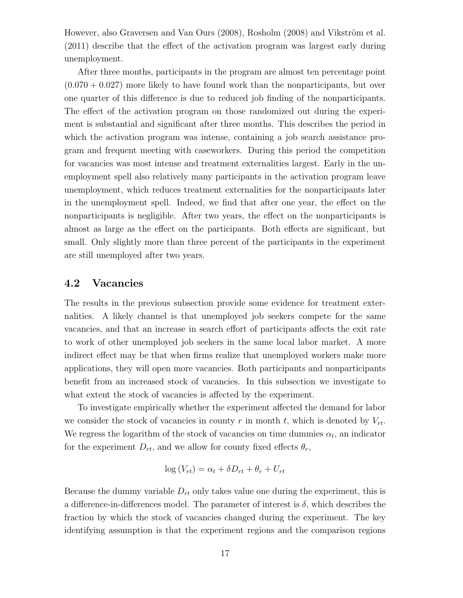However, also Graversen and Van Ours (2008), Rosholm (2008) and Vikström et al. (2011) describe that the effect of the activation program was largest early during unemployment.

After three months, participants in the program are almost ten percentage point  $(0.070 + 0.027)$  more likely to have found work than the nonparticipants, but over one quarter of this difference is due to reduced job finding of the nonparticipants. The effect of the activation program on those randomized out during the experiment is substantial and significant after three months. This describes the period in which the activation program was intense, containing a job search assistance program and frequent meeting with caseworkers. During this period the competition for vacancies was most intense and treatment externalities largest. Early in the unemployment spell also relatively many participants in the activation program leave unemployment, which reduces treatment externalities for the nonparticipants later in the unemployment spell. Indeed, we find that after one year, the effect on the nonparticipants is negligible. After two years, the effect on the nonparticipants is almost as large as the effect on the participants. Both effects are significant, but small. Only slightly more than three percent of the participants in the experiment are still unemployed after two years.

### 4.2 Vacancies

The results in the previous subsection provide some evidence for treatment externalities. A likely channel is that unemployed job seekers compete for the same vacancies, and that an increase in search effort of participants affects the exit rate to work of other unemployed job seekers in the same local labor market. A more indirect effect may be that when firms realize that unemployed workers make more applications, they will open more vacancies. Both participants and nonparticipants benefit from an increased stock of vacancies. In this subsection we investigate to what extent the stock of vacancies is affected by the experiment.

To investigate empirically whether the experiment affected the demand for labor we consider the stock of vacancies in county r in month t, which is denoted by  $V_{rt}$ . We regress the logarithm of the stock of vacancies on time dummies  $\alpha_t$ , an indicator for the experiment  $D_{rt}$ , and we allow for county fixed effects  $\theta_r$ ,

$$
\log(V_{rt}) = \alpha_t + \delta D_{rt} + \theta_r + U_{rt}
$$

Because the dummy variable  $D_{rt}$  only takes value one during the experiment, this is a difference-in-differences model. The parameter of interest is  $\delta$ , which describes the fraction by which the stock of vacancies changed during the experiment. The key identifying assumption is that the experiment regions and the comparison regions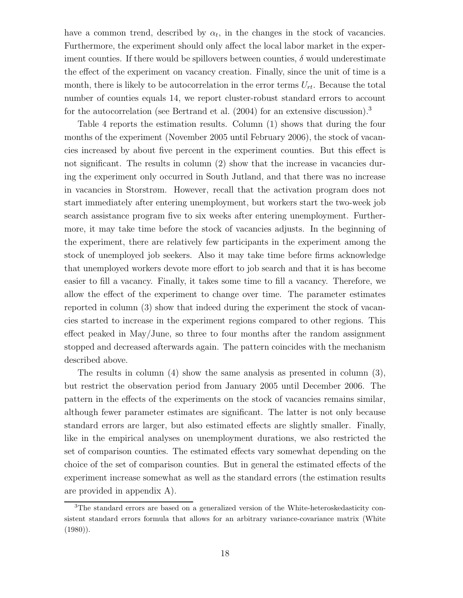have a common trend, described by  $\alpha_t$ , in the changes in the stock of vacancies. Furthermore, the experiment should only affect the local labor market in the experiment counties. If there would be spillovers between counties,  $\delta$  would underestimate the effect of the experiment on vacancy creation. Finally, since the unit of time is a month, there is likely to be autocorrelation in the error terms  $U_{rt}$ . Because the total number of counties equals 14, we report cluster-robust standard errors to account for the autocorrelation (see Bertrand et al.  $(2004)$  for an extensive discussion).<sup>3</sup>

Table 4 reports the estimation results. Column (1) shows that during the four months of the experiment (November 2005 until February 2006), the stock of vacancies increased by about five percent in the experiment counties. But this effect is not significant. The results in column (2) show that the increase in vacancies during the experiment only occurred in South Jutland, and that there was no increase in vacancies in Storstrøm. However, recall that the activation program does not start immediately after entering unemployment, but workers start the two-week job search assistance program five to six weeks after entering unemployment. Furthermore, it may take time before the stock of vacancies adjusts. In the beginning of the experiment, there are relatively few participants in the experiment among the stock of unemployed job seekers. Also it may take time before firms acknowledge that unemployed workers devote more effort to job search and that it is has become easier to fill a vacancy. Finally, it takes some time to fill a vacancy. Therefore, we allow the effect of the experiment to change over time. The parameter estimates reported in column (3) show that indeed during the experiment the stock of vacancies started to increase in the experiment regions compared to other regions. This effect peaked in May/June, so three to four months after the random assignment stopped and decreased afterwards again. The pattern coincides with the mechanism described above.

The results in column (4) show the same analysis as presented in column (3), but restrict the observation period from January 2005 until December 2006. The pattern in the effects of the experiments on the stock of vacancies remains similar, although fewer parameter estimates are significant. The latter is not only because standard errors are larger, but also estimated effects are slightly smaller. Finally, like in the empirical analyses on unemployment durations, we also restricted the set of comparison counties. The estimated effects vary somewhat depending on the choice of the set of comparison counties. But in general the estimated effects of the experiment increase somewhat as well as the standard errors (the estimation results are provided in appendix A).

<sup>3</sup>The standard errors are based on a generalized version of the White-heteroskedasticity consistent standard errors formula that allows for an arbitrary variance-covariance matrix (White  $(1980)$ .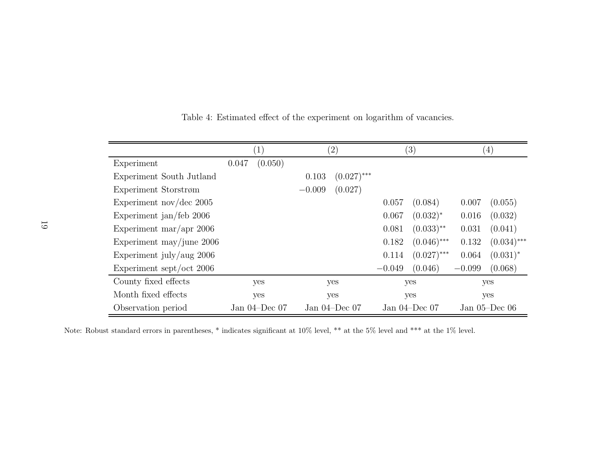|                            | $\left  \right $   |         |          | $\left( 2\right)$  |          | (3)                | $\left( 4\right)$ |                    |  |
|----------------------------|--------------------|---------|----------|--------------------|----------|--------------------|-------------------|--------------------|--|
| Experiment                 | 0.047              | (0.050) |          |                    |          |                    |                   |                    |  |
| Experiment South Jutland   |                    |         | 0.103    | $(0.027)$ ***      |          |                    |                   |                    |  |
| Experiment Storstrøm       |                    |         | $-0.009$ | (0.027)            |          |                    |                   |                    |  |
| Experiment nov/dec $2005$  |                    |         |          |                    | 0.057    | (0.084)            | 0.007             | (0.055)            |  |
| Experiment jan/feb 2006    |                    |         |          |                    | 0.067    | $(0.032)^*$        | 0.016             | (0.032)            |  |
| Experiment mar/apr $2006$  |                    |         |          |                    | 0.081    | $(0.033)$ **       | 0.031             | (0.041)            |  |
| Experiment may/june $2006$ |                    |         |          |                    | 0.182    | $(0.046)$ ***      | 0.132             | $(0.034)$ ***      |  |
| Experiment july/aug $2006$ |                    |         |          |                    | 0.114    | $(0.027)$ ***      | 0.064             | $(0.031)^*$        |  |
| Experiment sept/oct 2006   |                    |         |          |                    | $-0.049$ | (0.046)            | $-0.099$          | (0.068)            |  |
| County fixed effects       | yes                |         | yes      |                    |          | yes                |                   | yes                |  |
| Month fixed effects        | yes                |         | yes      |                    |          | yes                |                   | yes                |  |
| Observation period         | Jan $04$ -Dec $07$ |         |          | Jan $04$ -Dec $07$ |          | Jan $04$ -Dec $07$ |                   | Jan $05$ –Dec $06$ |  |

Table 4: Estimated effect of the experiment on logarithm of vacancies.

Note: Robust standard errors in parentheses, \* indicates significant at 10% level, \*\* at the 5% level and \*\*\* at the 1% level.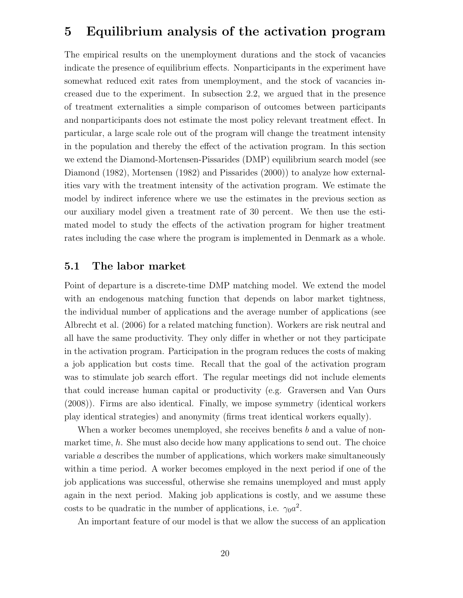# 5 Equilibrium analysis of the activation program

The empirical results on the unemployment durations and the stock of vacancies indicate the presence of equilibrium effects. Nonparticipants in the experiment have somewhat reduced exit rates from unemployment, and the stock of vacancies increased due to the experiment. In subsection 2.2, we argued that in the presence of treatment externalities a simple comparison of outcomes between participants and nonparticipants does not estimate the most policy relevant treatment effect. In particular, a large scale role out of the program will change the treatment intensity in the population and thereby the effect of the activation program. In this section we extend the Diamond-Mortensen-Pissarides (DMP) equilibrium search model (see Diamond (1982), Mortensen (1982) and Pissarides (2000)) to analyze how externalities vary with the treatment intensity of the activation program. We estimate the model by indirect inference where we use the estimates in the previous section as our auxiliary model given a treatment rate of 30 percent. We then use the estimated model to study the effects of the activation program for higher treatment rates including the case where the program is implemented in Denmark as a whole.

#### 5.1 The labor market

Point of departure is a discrete-time DMP matching model. We extend the model with an endogenous matching function that depends on labor market tightness, the individual number of applications and the average number of applications (see Albrecht et al. (2006) for a related matching function). Workers are risk neutral and all have the same productivity. They only differ in whether or not they participate in the activation program. Participation in the program reduces the costs of making a job application but costs time. Recall that the goal of the activation program was to stimulate job search effort. The regular meetings did not include elements that could increase human capital or productivity (e.g. Graversen and Van Ours (2008)). Firms are also identical. Finally, we impose symmetry (identical workers play identical strategies) and anonymity (firms treat identical workers equally).

When a worker becomes unemployed, she receives benefits  $b$  and a value of nonmarket time,  $h$ . She must also decide how many applications to send out. The choice variable a describes the number of applications, which workers make simultaneously within a time period. A worker becomes employed in the next period if one of the job applications was successful, otherwise she remains unemployed and must apply again in the next period. Making job applications is costly, and we assume these costs to be quadratic in the number of applications, i.e.  $\gamma_0 a^2$ .

An important feature of our model is that we allow the success of an application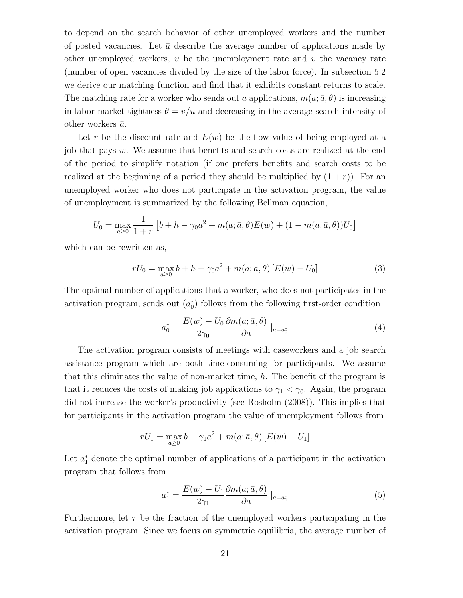to depend on the search behavior of other unemployed workers and the number of posted vacancies. Let  $\bar{a}$  describe the average number of applications made by other unemployed workers,  $u$  be the unemployment rate and  $v$  the vacancy rate (number of open vacancies divided by the size of the labor force). In subsection 5.2 we derive our matching function and find that it exhibits constant returns to scale. The matching rate for a worker who sends out a applications,  $m(a; \bar{a}, \theta)$  is increasing in labor-market tightness  $\theta = v/u$  and decreasing in the average search intensity of other workers  $\bar{a}$ .

Let r be the discount rate and  $E(w)$  be the flow value of being employed at a job that pays w. We assume that benefits and search costs are realized at the end of the period to simplify notation (if one prefers benefits and search costs to be realized at the beginning of a period they should be multiplied by  $(1 + r)$ ). For an unemployed worker who does not participate in the activation program, the value of unemployment is summarized by the following Bellman equation,

$$
U_0 = \max_{a \ge 0} \frac{1}{1+r} \left[ b + h - \gamma_0 a^2 + m(a; \bar{a}, \theta) E(w) + (1 - m(a; \bar{a}, \theta)) U_0 \right]
$$

which can be rewritten as,

$$
rU_0 = \max_{a \ge 0} b + h - \gamma_0 a^2 + m(a; \bar{a}, \theta) [E(w) - U_0]
$$
 (3)

The optimal number of applications that a worker, who does not participates in the activation program, sends out  $(a_0^*)$  follows from the following first-order condition

$$
a_0^* = \frac{E(w) - U_0}{2\gamma_0} \frac{\partial m(a; \bar{a}, \theta)}{\partial a} \big|_{a = a_0^*}
$$
 (4)

The activation program consists of meetings with caseworkers and a job search assistance program which are both time-consuming for participants. We assume that this eliminates the value of non-market time,  $h$ . The benefit of the program is that it reduces the costs of making job applications to  $\gamma_1 < \gamma_0$ . Again, the program did not increase the worker's productivity (see Rosholm (2008)). This implies that for participants in the activation program the value of unemployment follows from

$$
rU_1 = \max_{a \ge 0} b - \gamma_1 a^2 + m(a; \bar{a}, \theta) [E(w) - U_1]
$$

Let  $a_1^*$  denote the optimal number of applications of a participant in the activation program that follows from

$$
a_1^* = \frac{E(w) - U_1}{2\gamma_1} \frac{\partial m(a; \bar{a}, \theta)}{\partial a} \big|_{a = a_1^*}
$$
 (5)

Furthermore, let  $\tau$  be the fraction of the unemployed workers participating in the activation program. Since we focus on symmetric equilibria, the average number of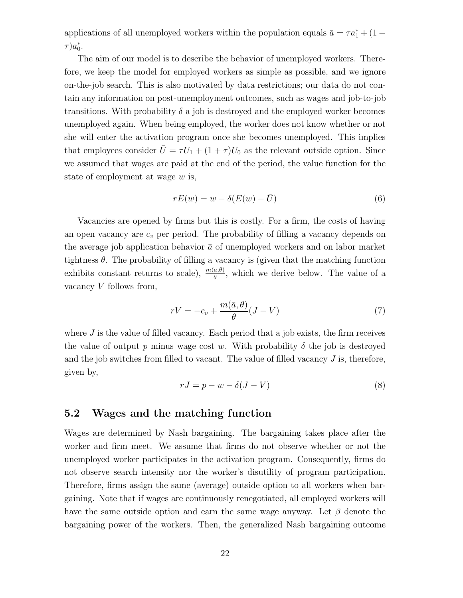applications of all unemployed workers within the population equals  $\bar{a} = \tau a_1^* + (1 \tau$ ) $a_0^*$ .

The aim of our model is to describe the behavior of unemployed workers. Therefore, we keep the model for employed workers as simple as possible, and we ignore on-the-job search. This is also motivated by data restrictions; our data do not contain any information on post-unemployment outcomes, such as wages and job-to-job transitions. With probability  $\delta$  a job is destroyed and the employed worker becomes unemployed again. When being employed, the worker does not know whether or not she will enter the activation program once she becomes unemployed. This implies that employees consider  $\overline{U} = \tau U_1 + (1 + \tau)U_0$  as the relevant outside option. Since we assumed that wages are paid at the end of the period, the value function for the state of employment at wage w is,

$$
rE(w) = w - \delta(E(w) - \bar{U})
$$
\n<sup>(6)</sup>

Vacancies are opened by firms but this is costly. For a firm, the costs of having an open vacancy are  $c_v$  per period. The probability of filling a vacancy depends on the average job application behavior  $\bar{a}$  of unemployed workers and on labor market tightness  $\theta$ . The probability of filling a vacancy is (given that the matching function exhibits constant returns to scale),  $\frac{m(\bar{a}, \theta)}{\theta}$ , which we derive below. The value of a vacancy  $V$  follows from,

$$
rV = -c_v + \frac{m(\bar{a}, \theta)}{\theta} (J - V)
$$
\n(7)

where  $J$  is the value of filled vacancy. Each period that a job exists, the firm receives the value of output p minus wage cost w. With probability  $\delta$  the job is destroyed and the job switches from filled to vacant. The value of filled vacancy  $J$  is, therefore, given by,

$$
rJ = p - w - \delta(J - V)
$$
\n(8)

#### 5.2 Wages and the matching function

Wages are determined by Nash bargaining. The bargaining takes place after the worker and firm meet. We assume that firms do not observe whether or not the unemployed worker participates in the activation program. Consequently, firms do not observe search intensity nor the worker's disutility of program participation. Therefore, firms assign the same (average) outside option to all workers when bargaining. Note that if wages are continuously renegotiated, all employed workers will have the same outside option and earn the same wage anyway. Let  $\beta$  denote the bargaining power of the workers. Then, the generalized Nash bargaining outcome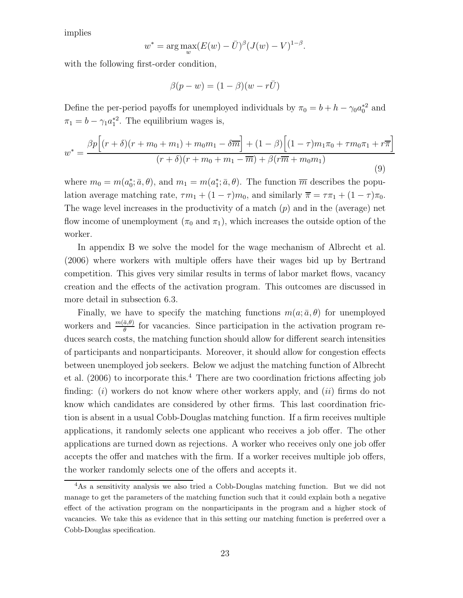implies

$$
w^* = \arg\max_{w} (E(w) - \bar{U})^{\beta} (J(w) - V)^{1-\beta}.
$$

with the following first-order condition,

$$
\beta(p - w) = (1 - \beta)(w - r\bar{U})
$$

Define the per-period payoffs for unemployed individuals by  $\pi_0 = b + h - \gamma_0 a_0^*{}^2$  and  $\pi_1 = b - \gamma_1 a_1^{*2}$ . The equilibrium wages is,

$$
w^* = \frac{\beta p \Big[ (r+\delta)(r+m_0+m_1) + m_0m_1 - \delta \overline{m} \Big] + (1-\beta) \Big[ (1-\tau)m_1\pi_0 + \tau m_0\pi_1 + r\overline{\pi} \Big]}{(r+\delta)(r+m_0+m_1 - \overline{m}) + \beta(r\overline{m} + m_0m_1)}
$$
(9)

where  $m_0 = m(a_0^*, \bar{a}, \theta)$ , and  $m_1 = m(a_1^*, \bar{a}, \theta)$ . The function  $\overline{m}$  describes the population average matching rate,  $\tau m_1 + (1 - \tau) m_0$ , and similarly  $\overline{\pi} = \tau \pi_1 + (1 - \tau) \pi_0$ . The wage level increases in the productivity of a match  $(p)$  and in the (average) net flow income of unemployment ( $\pi_0$  and  $\pi_1$ ), which increases the outside option of the worker.

In appendix B we solve the model for the wage mechanism of Albrecht et al. (2006) where workers with multiple offers have their wages bid up by Bertrand competition. This gives very similar results in terms of labor market flows, vacancy creation and the effects of the activation program. This outcomes are discussed in more detail in subsection 6.3.

Finally, we have to specify the matching functions  $m(a; \bar{a}, \theta)$  for unemployed workers and  $\frac{m(\bar{a},\theta)}{\theta}$  for vacancies. Since participation in the activation program reduces search costs, the matching function should allow for different search intensities of participants and nonparticipants. Moreover, it should allow for congestion effects between unemployed job seekers. Below we adjust the matching function of Albrecht et al.  $(2006)$  to incorporate this.<sup>4</sup> There are two coordination frictions affecting job finding:  $(i)$  workers do not know where other workers apply, and  $(ii)$  firms do not know which candidates are considered by other firms. This last coordination friction is absent in a usual Cobb-Douglas matching function. If a firm receives multiple applications, it randomly selects one applicant who receives a job offer. The other applications are turned down as rejections. A worker who receives only one job offer accepts the offer and matches with the firm. If a worker receives multiple job offers, the worker randomly selects one of the offers and accepts it.

<sup>4</sup>As a sensitivity analysis we also tried a Cobb-Douglas matching function. But we did not manage to get the parameters of the matching function such that it could explain both a negative effect of the activation program on the nonparticipants in the program and a higher stock of vacancies. We take this as evidence that in this setting our matching function is preferred over a Cobb-Douglas specification.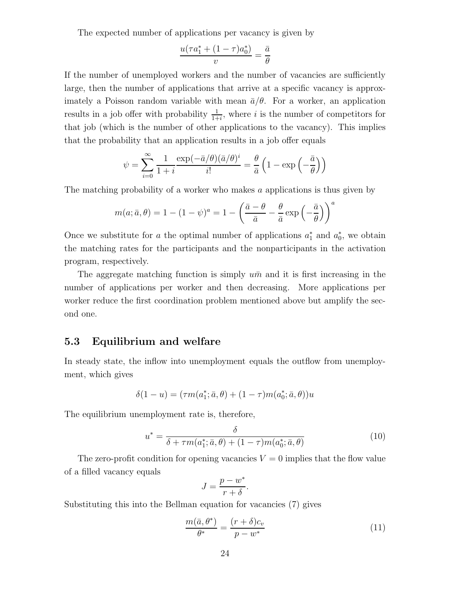The expected number of applications per vacancy is given by

$$
\frac{u(\tau a_1^* + (1 - \tau)a_0^*)}{v} = \frac{\bar{a}}{\theta}
$$

If the number of unemployed workers and the number of vacancies are sufficiently large, then the number of applications that arrive at a specific vacancy is approximately a Poisson random variable with mean  $\bar{a}/\theta$ . For a worker, an application results in a job offer with probability  $\frac{1}{1+i}$ , where i is the number of competitors for that job (which is the number of other applications to the vacancy). This implies that the probability that an application results in a job offer equals

$$
\psi = \sum_{i=0}^{\infty} \frac{1}{1+i} \frac{\exp(-\bar{a}/\theta)(\bar{a}/\theta)^i}{i!} = \frac{\theta}{\bar{a}} \left(1 - \exp\left(-\frac{\bar{a}}{\theta}\right)\right)
$$

The matching probability of a worker who makes a applications is thus given by

$$
m(a; \bar{a}, \theta) = 1 - (1 - \psi)^a = 1 - \left(\frac{\bar{a} - \theta}{\bar{a}} - \frac{\theta}{\bar{a}} \exp\left(-\frac{\bar{a}}{\theta}\right)\right)^a
$$

Once we substitute for a the optimal number of applications  $a_1^*$  and  $a_0^*$ , we obtain the matching rates for the participants and the nonparticipants in the activation program, respectively.

The aggregate matching function is simply  $u\bar{m}$  and it is first increasing in the number of applications per worker and then decreasing. More applications per worker reduce the first coordination problem mentioned above but amplify the second one.

### 5.3 Equilibrium and welfare

In steady state, the inflow into unemployment equals the outflow from unemployment, which gives

$$
\delta(1 - u) = (\tau m(a_1^*; \bar{a}, \theta) + (1 - \tau) m(a_0^*; \bar{a}, \theta))u
$$

The equilibrium unemployment rate is, therefore,

$$
u^* = \frac{\delta}{\delta + \tau m(a_1^*; \bar{a}, \theta) + (1 - \tau)m(a_0^*; \bar{a}, \theta)}\tag{10}
$$

The zero-profit condition for opening vacancies  $V = 0$  implies that the flow value of a filled vacancy equals

$$
J = \frac{p - w^*}{r + \delta}.
$$

Substituting this into the Bellman equation for vacancies (7) gives

$$
\frac{m(\bar{a}, \theta^*)}{\theta^*} = \frac{(r+\delta)c_v}{p-w^*}
$$
\n(11)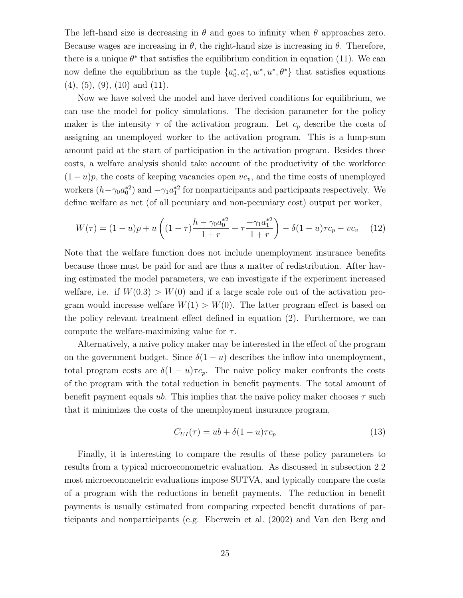The left-hand size is decreasing in  $\theta$  and goes to infinity when  $\theta$  approaches zero. Because wages are increasing in  $\theta$ , the right-hand size is increasing in  $\theta$ . Therefore, there is a unique  $\theta^*$  that satisfies the equilibrium condition in equation (11). We can now define the equilibrium as the tuple  $\{a_0^*, a_1^*, w^*, u^*, \theta^*\}$  that satisfies equations  $(4)$ ,  $(5)$ ,  $(9)$ ,  $(10)$  and  $(11)$ .

Now we have solved the model and have derived conditions for equilibrium, we can use the model for policy simulations. The decision parameter for the policy maker is the intensity  $\tau$  of the activation program. Let  $c_p$  describe the costs of assigning an unemployed worker to the activation program. This is a lump-sum amount paid at the start of participation in the activation program. Besides those costs, a welfare analysis should take account of the productivity of the workforce  $(1-u)p$ , the costs of keeping vacancies open  $vc_v$ , and the time costs of unemployed workers  $(h - \gamma_0 a_0^{*2})$  and  $-\gamma_1 a_1^{*2}$  for nonparticipants and participants respectively. We define welfare as net (of all pecuniary and non-pecuniary cost) output per worker,

$$
W(\tau) = (1 - u)p + u\left((1 - \tau)\frac{h - \gamma_0 a_0^{*2}}{1 + r} + \tau \frac{-\gamma_1 a_1^{*2}}{1 + r}\right) - \delta(1 - u)\tau c_p - vc_v \tag{12}
$$

Note that the welfare function does not include unemployment insurance benefits because those must be paid for and are thus a matter of redistribution. After having estimated the model parameters, we can investigate if the experiment increased welfare, i.e. if  $W(0,3) > W(0)$  and if a large scale role out of the activation program would increase welfare  $W(1) > W(0)$ . The latter program effect is based on the policy relevant treatment effect defined in equation (2). Furthermore, we can compute the welfare-maximizing value for  $\tau$ .

Alternatively, a naive policy maker may be interested in the effect of the program on the government budget. Since  $\delta(1-u)$  describes the inflow into unemployment, total program costs are  $\delta(1-u)\tau c_p$ . The naive policy maker confronts the costs of the program with the total reduction in benefit payments. The total amount of benefit payment equals ub. This implies that the naive policy maker chooses  $\tau$  such that it minimizes the costs of the unemployment insurance program,

$$
C_{UI}(\tau) = ub + \delta(1 - u)\tau c_p \tag{13}
$$

Finally, it is interesting to compare the results of these policy parameters to results from a typical microeconometric evaluation. As discussed in subsection 2.2 most microeconometric evaluations impose SUTVA, and typically compare the costs of a program with the reductions in benefit payments. The reduction in benefit payments is usually estimated from comparing expected benefit durations of participants and nonparticipants (e.g. Eberwein et al. (2002) and Van den Berg and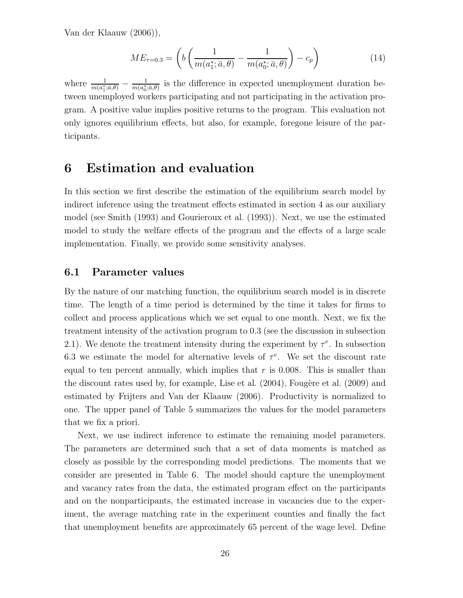Van der Klaauw (2006)),

$$
ME_{\tau=0.3} = \left(b\left(\frac{1}{m(a_1^*; \bar{a}, \theta)} - \frac{1}{m(a_0^*; \bar{a}, \theta)}\right) - c_p\right)
$$
(14)

where  $\frac{1}{m(a_1^*; \bar{a}, \theta)} - \frac{1}{m(a_0^*)}$  $\frac{1}{m(a_0^*,\bar{a},\theta)}$  is the difference in expected unemployment duration between unemployed workers participating and not participating in the activation program. A positive value implies positive returns to the program. This evaluation not only ignores equilibrium effects, but also, for example, foregone leisure of the participants.

# 6 Estimation and evaluation

In this section we first describe the estimation of the equilibrium search model by indirect inference using the treatment effects estimated in section 4 as our auxiliary model (see Smith (1993) and Gourieroux et al. (1993)). Next, we use the estimated model to study the welfare effects of the program and the effects of a large scale implementation. Finally, we provide some sensitivity analyses.

#### 6.1 Parameter values

By the nature of our matching function, the equilibrium search model is in discrete time. The length of a time period is determined by the time it takes for firms to collect and process applications which we set equal to one month. Next, we fix the treatment intensity of the activation program to 0.3 (see the discussion in subsection 2.1). We denote the treatment intensity during the experiment by  $\tau^e$ . In subsection 6.3 we estimate the model for alternative levels of  $\tau^e$ . We set the discount rate equal to ten percent annually, which implies that  $r$  is 0.008. This is smaller than the discount rates used by, for example, Lise et al.  $(2004)$ , Fougère et al.  $(2009)$  and estimated by Frijters and Van der Klaauw (2006). Productivity is normalized to one. The upper panel of Table 5 summarizes the values for the model parameters that we fix a priori.

Next, we use indirect inference to estimate the remaining model parameters. The parameters are determined such that a set of data moments is matched as closely as possible by the corresponding model predictions. The moments that we consider are presented in Table 6. The model should capture the unemployment and vacancy rates from the data, the estimated program effect on the participants and on the nonparticipants, the estimated increase in vacancies due to the experiment, the average matching rate in the experiment counties and finally the fact that unemployment benefits are approximately 65 percent of the wage level. Define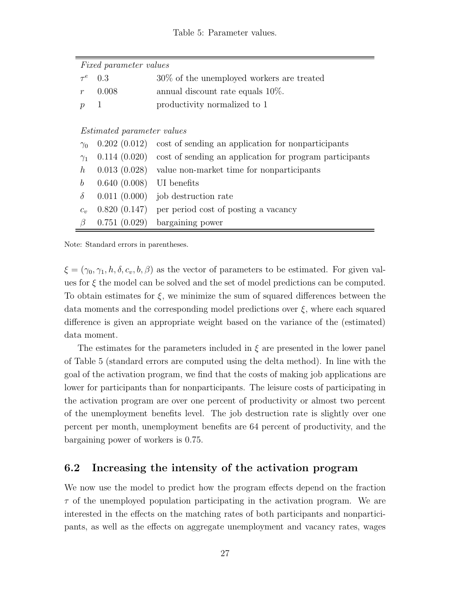#### Table 5: Parameter values.

|                  | <i>Fixed parameter values</i>     |                                                                          |
|------------------|-----------------------------------|--------------------------------------------------------------------------|
| $\tau ^{e}$      | 0.3                               | $30\%$ of the unemployed workers are treated                             |
| $\boldsymbol{r}$ | 0.008                             | annual discount rate equals $10\%$ .                                     |
| $\mathcal{D}$    | $\mathbf{1}$                      | productivity normalized to 1                                             |
|                  |                                   |                                                                          |
|                  | <i>Estimated parameter values</i> |                                                                          |
| $\gamma_0$       | 0.202(0.012)                      | cost of sending an application for nonparticipants                       |
| $\gamma_1$       |                                   | $(0.114)(0.020)$ cost of sending an application for program participants |
| $\hbar$          |                                   | $0.013(0.028)$ value non-market time for nonparticipants                 |
| b                | 0.640(0.008)                      | UI benefits                                                              |
| $\delta$         | 0.011(0.000)                      | job destruction rate                                                     |
| $C_{\eta}$       | 0.820(0.147)                      | per period cost of posting a vacancy                                     |
| $\beta$          | 0.751(0.029)                      | bargaining power                                                         |

Note: Standard errors in parentheses.

 $\xi = (\gamma_0, \gamma_1, h, \delta, c_v, b, \beta)$  as the vector of parameters to be estimated. For given values for  $\xi$  the model can be solved and the set of model predictions can be computed. To obtain estimates for  $\xi$ , we minimize the sum of squared differences between the data moments and the corresponding model predictions over  $\xi$ , where each squared difference is given an appropriate weight based on the variance of the (estimated) data moment.

The estimates for the parameters included in  $\xi$  are presented in the lower panel of Table 5 (standard errors are computed using the delta method). In line with the goal of the activation program, we find that the costs of making job applications are lower for participants than for nonparticipants. The leisure costs of participating in the activation program are over one percent of productivity or almost two percent of the unemployment benefits level. The job destruction rate is slightly over one percent per month, unemployment benefits are 64 percent of productivity, and the bargaining power of workers is 0.75.

### 6.2 Increasing the intensity of the activation program

We now use the model to predict how the program effects depend on the fraction  $\tau$  of the unemployed population participating in the activation program. We are interested in the effects on the matching rates of both participants and nonparticipants, as well as the effects on aggregate unemployment and vacancy rates, wages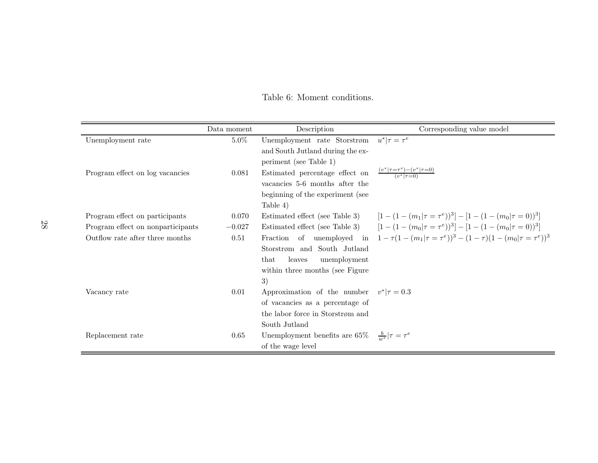|                                   | Data moment | Description                                                                          | Corresponding value model                                                                               |
|-----------------------------------|-------------|--------------------------------------------------------------------------------------|---------------------------------------------------------------------------------------------------------|
| Unemployment rate                 | $5.0\%$     | Unemployment rate Storstrøm $u^* \tau = \tau^e$                                      |                                                                                                         |
|                                   |             | and South Jutland during the ex-                                                     |                                                                                                         |
|                                   |             | periment (see Table 1)                                                               |                                                                                                         |
| Program effect on log vacancies   | 0.081       | Estimated percentage effect on $\frac{(v^* \tau=\tau^e)-(v^* \tau=0)}{(v^* \tau=0)}$ |                                                                                                         |
|                                   |             | vacancies 5-6 months after the                                                       |                                                                                                         |
|                                   |             | beginning of the experiment (see                                                     |                                                                                                         |
|                                   |             | Table 4)                                                                             |                                                                                                         |
| Program effect on participants    | 0.070       | Estimated effect (see Table 3)                                                       | $[1-(1-(m_1)\tau=\tau^e))^3]-[1-(1-(m_0)\tau=0))^3]$                                                    |
| Program effect on nonparticipants | $-0.027$    |                                                                                      | Estimated effect (see Table 3) $[1 - (1 - (m_0)\tau = \tau^e))^3] - [1 - (1 - (m_0)\tau = 0))^3]$       |
| Outflow rate after three months   | 0.51        |                                                                                      | Fraction of unemployed in $1 - \tau(1 - (m_1 \tau = \tau^e))^3 - (1 - \tau)(1 - (m_0 \tau = \tau^e))^3$ |
|                                   |             | Storstrøm and South Jutland                                                          |                                                                                                         |
|                                   |             | that<br>leaves<br>unemployment                                                       |                                                                                                         |
|                                   |             | within three months (see Figure                                                      |                                                                                                         |
|                                   |             | 3)                                                                                   |                                                                                                         |
| Vacancy rate                      | 0.01        | Approximation of the number $v^* \tau = 0.3$                                         |                                                                                                         |
|                                   |             | of vacancies as a percentage of                                                      |                                                                                                         |
|                                   |             | the labor force in Storstrøm and                                                     |                                                                                                         |
|                                   |             | South Jutland                                                                        |                                                                                                         |
| Replacement rate                  | 0.65        | Unemployment benefits are 65\% $\frac{b}{m^*} \tau = \tau^e$                         |                                                                                                         |
|                                   |             | of the wage level                                                                    |                                                                                                         |

Table 6: Moment conditions.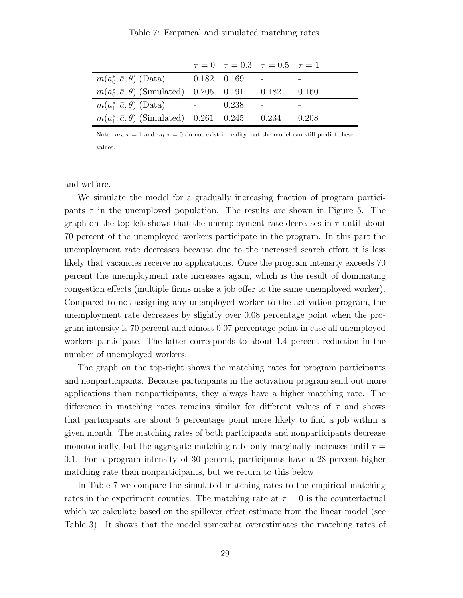|                                                     |               |       | $\tau = 0$ $\tau = 0.3$ $\tau = 0.5$ $\tau = 1$ |       |
|-----------------------------------------------------|---------------|-------|-------------------------------------------------|-------|
| $m(a_0^*; \bar{a}, \theta)$ (Data)                  | $0.182$ 0.169 |       |                                                 |       |
| $m(a_0^*; \bar{a}, \theta)$ (Simulated) 0.205 0.191 |               |       | 0.182                                           | 0.160 |
| $m(a_1^*; \bar{a}, \theta)$ (Data)                  |               | 0.238 |                                                 |       |
| $m(a_1^*; \bar{a}, \theta)$ (Simulated) 0.261 0.245 |               |       | 0.234                                           | 0.208 |

Table 7: Empirical and simulated matching rates.

Note:  $m_n|\tau = 1$  and  $m_t|\tau = 0$  do not exist in reality, but the model can still predict these values.

and welfare.

We simulate the model for a gradually increasing fraction of program participants  $\tau$  in the unemployed population. The results are shown in Figure 5. The graph on the top-left shows that the unemployment rate decreases in  $\tau$  until about 70 percent of the unemployed workers participate in the program. In this part the unemployment rate decreases because due to the increased search effort it is less likely that vacancies receive no applications. Once the program intensity exceeds 70 percent the unemployment rate increases again, which is the result of dominating congestion effects (multiple firms make a job offer to the same unemployed worker). Compared to not assigning any unemployed worker to the activation program, the unemployment rate decreases by slightly over 0.08 percentage point when the program intensity is 70 percent and almost 0.07 percentage point in case all unemployed workers participate. The latter corresponds to about 1.4 percent reduction in the number of unemployed workers.

The graph on the top-right shows the matching rates for program participants and nonparticipants. Because participants in the activation program send out more applications than nonparticipants, they always have a higher matching rate. The difference in matching rates remains similar for different values of  $\tau$  and shows that participants are about 5 percentage point more likely to find a job within a given month. The matching rates of both participants and nonparticipants decrease monotonically, but the aggregate matching rate only marginally increases until  $\tau =$ 0.1. For a program intensity of 30 percent, participants have a 28 percent higher matching rate than nonparticipants, but we return to this below.

In Table 7 we compare the simulated matching rates to the empirical matching rates in the experiment counties. The matching rate at  $\tau = 0$  is the counterfactual which we calculate based on the spillover effect estimate from the linear model (see Table 3). It shows that the model somewhat overestimates the matching rates of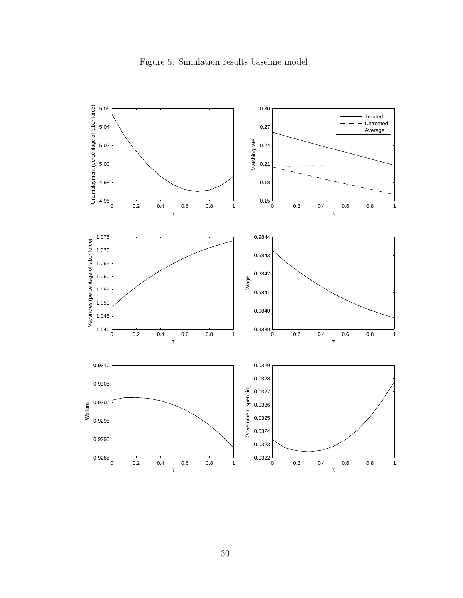

Figure 5: Simulation results baseline model.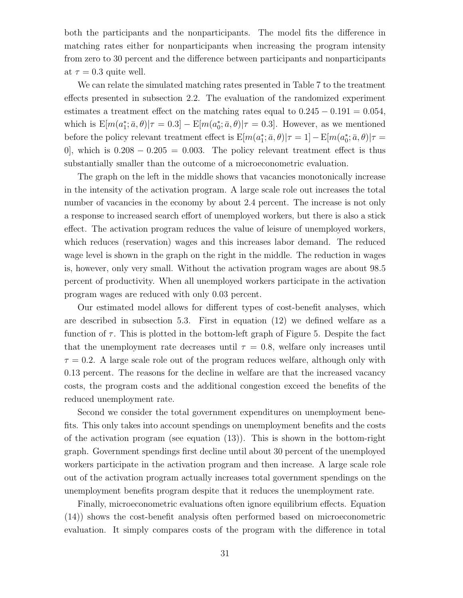both the participants and the nonparticipants. The model fits the difference in matching rates either for nonparticipants when increasing the program intensity from zero to 30 percent and the difference between participants and nonparticipants at  $\tau = 0.3$  quite well.

We can relate the simulated matching rates presented in Table 7 to the treatment effects presented in subsection 2.2. The evaluation of the randomized experiment estimates a treatment effect on the matching rates equal to  $0.245 - 0.191 = 0.054$ , which is  $E[m(a_1^*; \bar{a}, \theta)|\tau = 0.3] - E[m(a_0^*; \bar{a}, \theta)|\tau = 0.3]$ . However, as we mentioned before the policy relevant treatment effect is  $E[m(a_1^*; \bar{a}, \theta)|\tau = 1] - E[m(a_0^*; \bar{a}, \theta)|\tau =$ 0, which is  $0.208 - 0.205 = 0.003$ . The policy relevant treatment effect is thus substantially smaller than the outcome of a microeconometric evaluation.

The graph on the left in the middle shows that vacancies monotonically increase in the intensity of the activation program. A large scale role out increases the total number of vacancies in the economy by about 2.4 percent. The increase is not only a response to increased search effort of unemployed workers, but there is also a stick effect. The activation program reduces the value of leisure of unemployed workers, which reduces (reservation) wages and this increases labor demand. The reduced wage level is shown in the graph on the right in the middle. The reduction in wages is, however, only very small. Without the activation program wages are about 98.5 percent of productivity. When all unemployed workers participate in the activation program wages are reduced with only 0.03 percent.

Our estimated model allows for different types of cost-benefit analyses, which are described in subsection 5.3. First in equation (12) we defined welfare as a function of  $\tau$ . This is plotted in the bottom-left graph of Figure 5. Despite the fact that the unemployment rate decreases until  $\tau = 0.8$ , welfare only increases until  $\tau = 0.2$ . A large scale role out of the program reduces welfare, although only with 0.13 percent. The reasons for the decline in welfare are that the increased vacancy costs, the program costs and the additional congestion exceed the benefits of the reduced unemployment rate.

Second we consider the total government expenditures on unemployment benefits. This only takes into account spendings on unemployment benefits and the costs of the activation program (see equation (13)). This is shown in the bottom-right graph. Government spendings first decline until about 30 percent of the unemployed workers participate in the activation program and then increase. A large scale role out of the activation program actually increases total government spendings on the unemployment benefits program despite that it reduces the unemployment rate.

Finally, microeconometric evaluations often ignore equilibrium effects. Equation (14)) shows the cost-benefit analysis often performed based on microeconometric evaluation. It simply compares costs of the program with the difference in total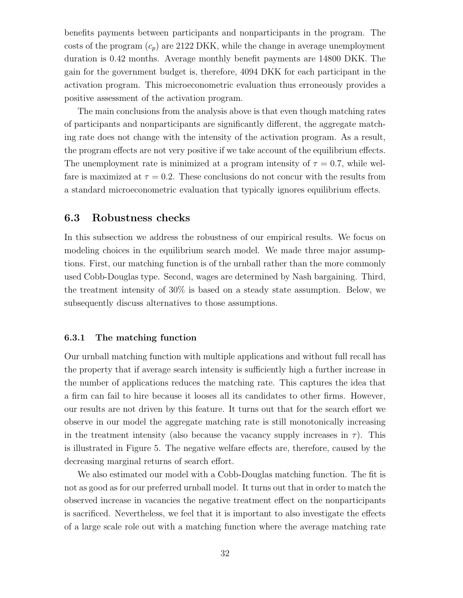benefits payments between participants and nonparticipants in the program. The costs of the program  $(c_p)$  are 2122 DKK, while the change in average unemployment duration is 0.42 months. Average monthly benefit payments are 14800 DKK. The gain for the government budget is, therefore, 4094 DKK for each participant in the activation program. This microeconometric evaluation thus erroneously provides a positive assessment of the activation program.

The main conclusions from the analysis above is that even though matching rates of participants and nonparticipants are significantly different, the aggregate matching rate does not change with the intensity of the activation program. As a result, the program effects are not very positive if we take account of the equilibrium effects. The unemployment rate is minimized at a program intensity of  $\tau = 0.7$ , while welfare is maximized at  $\tau = 0.2$ . These conclusions do not concur with the results from a standard microeconometric evaluation that typically ignores equilibrium effects.

#### 6.3 Robustness checks

In this subsection we address the robustness of our empirical results. We focus on modeling choices in the equilibrium search model. We made three major assumptions. First, our matching function is of the urnball rather than the more commonly used Cobb-Douglas type. Second, wages are determined by Nash bargaining. Third, the treatment intensity of 30% is based on a steady state assumption. Below, we subsequently discuss alternatives to those assumptions.

#### 6.3.1 The matching function

Our urnball matching function with multiple applications and without full recall has the property that if average search intensity is sufficiently high a further increase in the number of applications reduces the matching rate. This captures the idea that a firm can fail to hire because it looses all its candidates to other firms. However, our results are not driven by this feature. It turns out that for the search effort we observe in our model the aggregate matching rate is still monotonically increasing in the treatment intensity (also because the vacancy supply increases in  $\tau$ ). This is illustrated in Figure 5. The negative welfare effects are, therefore, caused by the decreasing marginal returns of search effort.

We also estimated our model with a Cobb-Douglas matching function. The fit is not as good as for our preferred urnball model. It turns out that in order to match the observed increase in vacancies the negative treatment effect on the nonparticipants is sacrificed. Nevertheless, we feel that it is important to also investigate the effects of a large scale role out with a matching function where the average matching rate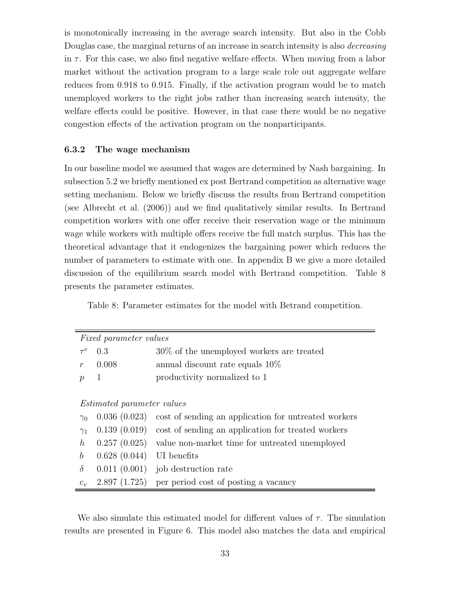is monotonically increasing in the average search intensity. But also in the Cobb Douglas case, the marginal returns of an increase in search intensity is also decreasing in  $\tau$ . For this case, we also find negative welfare effects. When moving from a labor market without the activation program to a large scale role out aggregate welfare reduces from 0.918 to 0.915. Finally, if the activation program would be to match unemployed workers to the right jobs rather than increasing search intensity, the welfare effects could be positive. However, in that case there would be no negative congestion effects of the activation program on the nonparticipants.

#### 6.3.2 The wage mechanism

In our baseline model we assumed that wages are determined by Nash bargaining. In subsection 5.2 we briefly mentioned ex post Bertrand competition as alternative wage setting mechanism. Below we briefly discuss the results from Bertrand competition (see Albrecht et al. (2006)) and we find qualitatively similar results. In Bertrand competition workers with one offer receive their reservation wage or the minimum wage while workers with multiple offers receive the full match surplus. This has the theoretical advantage that it endogenizes the bargaining power which reduces the number of parameters to estimate with one. In appendix B we give a more detailed discussion of the equilibrium search model with Bertrand competition. Table 8 presents the parameter estimates.

Table 8: Parameter estimates for the model with Betrand competition.

|                  | <i>Fixed parameter values</i>     |                                                                     |  |  |  |  |  |  |
|------------------|-----------------------------------|---------------------------------------------------------------------|--|--|--|--|--|--|
| $\tau ^{e}$      | 0.3                               | $30\%$ of the unemployed workers are treated                        |  |  |  |  |  |  |
| $\mathcal{r}$    | 0.008                             | annual discount rate equals $10\%$                                  |  |  |  |  |  |  |
| $\mathcal{p}$    | 1                                 | productivity normalized to 1                                        |  |  |  |  |  |  |
|                  |                                   |                                                                     |  |  |  |  |  |  |
|                  | <i>Estimated parameter values</i> |                                                                     |  |  |  |  |  |  |
| $\gamma_0$       | 0.036(0.023)                      | cost of sending an application for untreated workers                |  |  |  |  |  |  |
| $\gamma_1$       |                                   | $(0.139)(0.019)$ cost of sending an application for treated workers |  |  |  |  |  |  |
| $\hbar$          |                                   | $(0.257)(0.025)$ value non-market time for untreated unemployed     |  |  |  |  |  |  |
| $\boldsymbol{b}$ | 0.628(0.044)                      | UI benefits                                                         |  |  |  |  |  |  |
| $\delta$         |                                   | $0.011(0.001)$ job destruction rate                                 |  |  |  |  |  |  |
| $C_{\eta}$       |                                   | $2.897(1.725)$ per period cost of posting a vacancy                 |  |  |  |  |  |  |

We also simulate this estimated model for different values of  $\tau$ . The simulation results are presented in Figure 6. This model also matches the data and empirical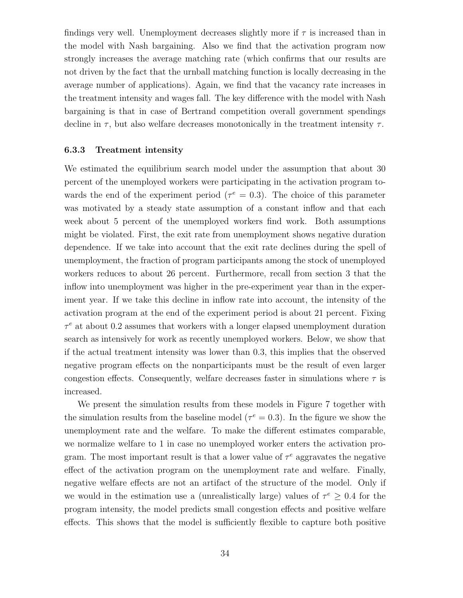findings very well. Unemployment decreases slightly more if  $\tau$  is increased than in the model with Nash bargaining. Also we find that the activation program now strongly increases the average matching rate (which confirms that our results are not driven by the fact that the urnball matching function is locally decreasing in the average number of applications). Again, we find that the vacancy rate increases in the treatment intensity and wages fall. The key difference with the model with Nash bargaining is that in case of Bertrand competition overall government spendings decline in  $\tau$ , but also welfare decreases monotonically in the treatment intensity  $\tau$ .

#### 6.3.3 Treatment intensity

We estimated the equilibrium search model under the assumption that about 30 percent of the unemployed workers were participating in the activation program towards the end of the experiment period ( $\tau^e = 0.3$ ). The choice of this parameter was motivated by a steady state assumption of a constant inflow and that each week about 5 percent of the unemployed workers find work. Both assumptions might be violated. First, the exit rate from unemployment shows negative duration dependence. If we take into account that the exit rate declines during the spell of unemployment, the fraction of program participants among the stock of unemployed workers reduces to about 26 percent. Furthermore, recall from section 3 that the inflow into unemployment was higher in the pre-experiment year than in the experiment year. If we take this decline in inflow rate into account, the intensity of the activation program at the end of the experiment period is about 21 percent. Fixing  $\tau^e$  at about 0.2 assumes that workers with a longer elapsed unemployment duration search as intensively for work as recently unemployed workers. Below, we show that if the actual treatment intensity was lower than 0.3, this implies that the observed negative program effects on the nonparticipants must be the result of even larger congestion effects. Consequently, welfare decreases faster in simulations where  $\tau$  is increased.

We present the simulation results from these models in Figure 7 together with the simulation results from the baseline model ( $\tau^e = 0.3$ ). In the figure we show the unemployment rate and the welfare. To make the different estimates comparable, we normalize welfare to 1 in case no unemployed worker enters the activation program. The most important result is that a lower value of  $\tau^e$  aggravates the negative effect of the activation program on the unemployment rate and welfare. Finally, negative welfare effects are not an artifact of the structure of the model. Only if we would in the estimation use a (unrealistically large) values of  $\tau^e \geq 0.4$  for the program intensity, the model predicts small congestion effects and positive welfare effects. This shows that the model is sufficiently flexible to capture both positive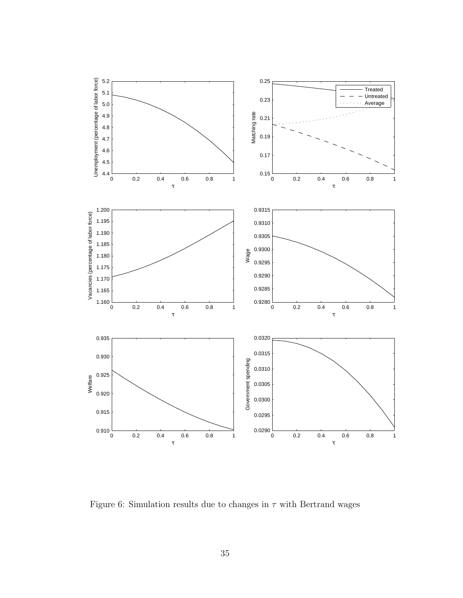

Figure 6: Simulation results due to changes in  $\tau$  with Bertrand wages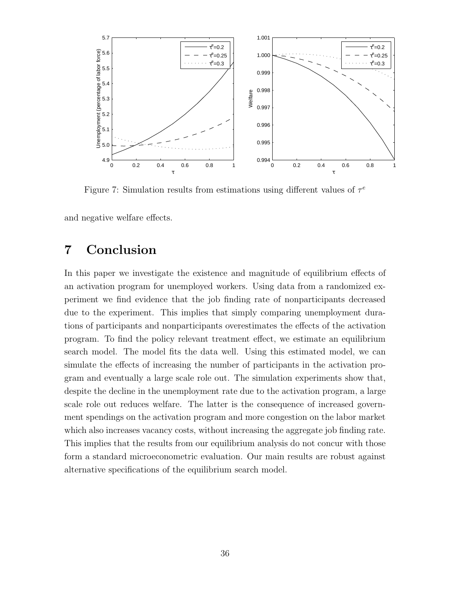

Figure 7: Simulation results from estimations using different values of  $\tau^e$ 

and negative welfare effects.

# 7 Conclusion

In this paper we investigate the existence and magnitude of equilibrium effects of an activation program for unemployed workers. Using data from a randomized experiment we find evidence that the job finding rate of nonparticipants decreased due to the experiment. This implies that simply comparing unemployment durations of participants and nonparticipants overestimates the effects of the activation program. To find the policy relevant treatment effect, we estimate an equilibrium search model. The model fits the data well. Using this estimated model, we can simulate the effects of increasing the number of participants in the activation program and eventually a large scale role out. The simulation experiments show that, despite the decline in the unemployment rate due to the activation program, a large scale role out reduces welfare. The latter is the consequence of increased government spendings on the activation program and more congestion on the labor market which also increases vacancy costs, without increasing the aggregate job finding rate. This implies that the results from our equilibrium analysis do not concur with those form a standard microeconometric evaluation. Our main results are robust against alternative specifications of the equilibrium search model.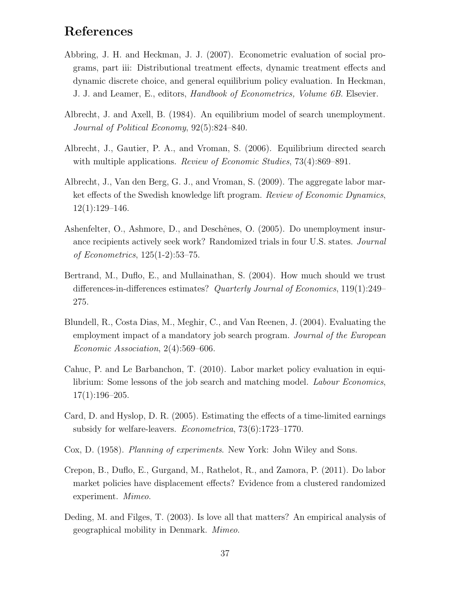# References

- Abbring, J. H. and Heckman, J. J. (2007). Econometric evaluation of social programs, part iii: Distributional treatment effects, dynamic treatment effects and dynamic discrete choice, and general equilibrium policy evaluation. In Heckman, J. J. and Leamer, E., editors, Handbook of Econometrics, Volume 6B. Elsevier.
- Albrecht, J. and Axell, B. (1984). An equilibrium model of search unemployment. Journal of Political Economy, 92(5):824–840.
- Albrecht, J., Gautier, P. A., and Vroman, S. (2006). Equilibrium directed search with multiple applications. Review of Economic Studies, 73(4):869–891.
- Albrecht, J., Van den Berg, G. J., and Vroman, S. (2009). The aggregate labor market effects of the Swedish knowledge lift program. Review of Economic Dynamics,  $12(1):129-146.$
- Ashenfelter, O., Ashmore, D., and Deschênes, O. (2005). Do unemployment insurance recipients actively seek work? Randomized trials in four U.S. states. Journal of Econometrics, 125(1-2):53–75.
- Bertrand, M., Duflo, E., and Mullainathan, S. (2004). How much should we trust differences-in-differences estimates? Quarterly Journal of Economics, 119(1):249– 275.
- Blundell, R., Costa Dias, M., Meghir, C., and Van Reenen, J. (2004). Evaluating the employment impact of a mandatory job search program. Journal of the European Economic Association, 2(4):569–606.
- Cahuc, P. and Le Barbanchon, T. (2010). Labor market policy evaluation in equilibrium: Some lessons of the job search and matching model. *Labour Economics*,  $17(1):196-205.$
- Card, D. and Hyslop, D. R. (2005). Estimating the effects of a time-limited earnings subsidy for welfare-leavers. Econometrica, 73(6):1723–1770.
- Cox, D. (1958). Planning of experiments. New York: John Wiley and Sons.
- Crepon, B., Duflo, E., Gurgand, M., Rathelot, R., and Zamora, P. (2011). Do labor market policies have displacement effects? Evidence from a clustered randomized experiment. Mimeo.
- Deding, M. and Filges, T. (2003). Is love all that matters? An empirical analysis of geographical mobility in Denmark. Mimeo.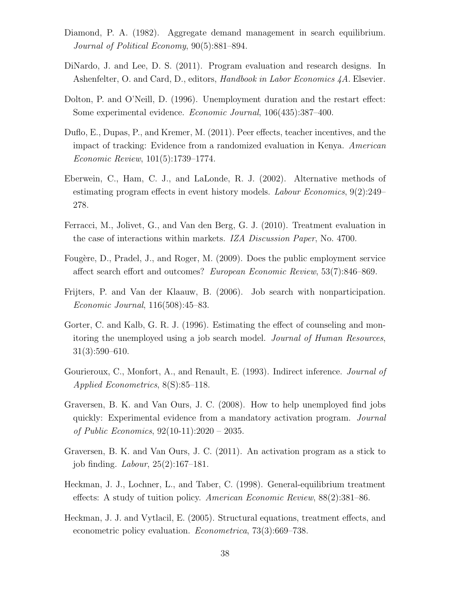- Diamond, P. A. (1982). Aggregate demand management in search equilibrium. Journal of Political Economy, 90(5):881–894.
- DiNardo, J. and Lee, D. S. (2011). Program evaluation and research designs. In Ashenfelter, O. and Card, D., editors, Handbook in Labor Economics 4A. Elsevier.
- Dolton, P. and O'Neill, D. (1996). Unemployment duration and the restart effect: Some experimental evidence. Economic Journal, 106(435):387–400.
- Duflo, E., Dupas, P., and Kremer, M. (2011). Peer effects, teacher incentives, and the impact of tracking: Evidence from a randomized evaluation in Kenya. American Economic Review, 101(5):1739–1774.
- Eberwein, C., Ham, C. J., and LaLonde, R. J. (2002). Alternative methods of estimating program effects in event history models. Labour Economics, 9(2):249– 278.
- Ferracci, M., Jolivet, G., and Van den Berg, G. J. (2010). Treatment evaluation in the case of interactions within markets. IZA Discussion Paper, No. 4700.
- Fougère, D., Pradel, J., and Roger, M. (2009). Does the public employment service affect search effort and outcomes? European Economic Review, 53(7):846–869.
- Frijters, P. and Van der Klaauw, B. (2006). Job search with nonparticipation. Economic Journal, 116(508):45–83.
- Gorter, C. and Kalb, G. R. J. (1996). Estimating the effect of counseling and monitoring the unemployed using a job search model. Journal of Human Resources, 31(3):590–610.
- Gourieroux, C., Monfort, A., and Renault, E. (1993). Indirect inference. Journal of Applied Econometrics, 8(S):85–118.
- Graversen, B. K. and Van Ours, J. C. (2008). How to help unemployed find jobs quickly: Experimental evidence from a mandatory activation program. Journal of Public Economics, 92(10-11):2020 – 2035.
- Graversen, B. K. and Van Ours, J. C. (2011). An activation program as a stick to job finding. Labour, 25(2):167–181.
- Heckman, J. J., Lochner, L., and Taber, C. (1998). General-equilibrium treatment effects: A study of tuition policy. American Economic Review, 88(2):381–86.
- Heckman, J. J. and Vytlacil, E. (2005). Structural equations, treatment effects, and econometric policy evaluation. Econometrica, 73(3):669–738.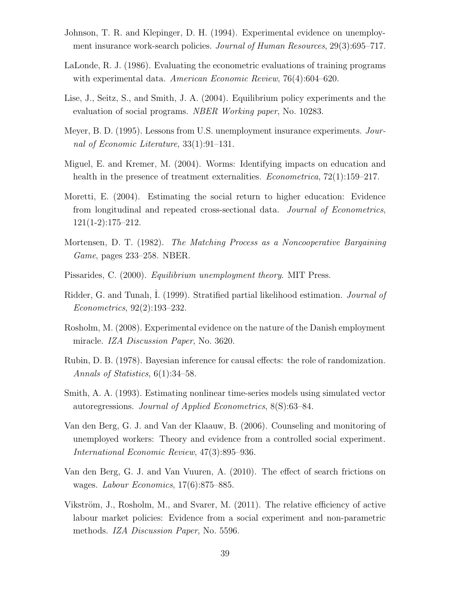- Johnson, T. R. and Klepinger, D. H. (1994). Experimental evidence on unemployment insurance work-search policies. Journal of Human Resources, 29(3):695–717.
- LaLonde, R. J. (1986). Evaluating the econometric evaluations of training programs with experimental data. American Economic Review, 76(4):604–620.
- Lise, J., Seitz, S., and Smith, J. A. (2004). Equilibrium policy experiments and the evaluation of social programs. NBER Working paper, No. 10283.
- Meyer, B. D. (1995). Lessons from U.S. unemployment insurance experiments. Journal of Economic Literature, 33(1):91–131.
- Miguel, E. and Kremer, M. (2004). Worms: Identifying impacts on education and health in the presence of treatment externalities. *Econometrica*,  $72(1):159-217$ .
- Moretti, E. (2004). Estimating the social return to higher education: Evidence from longitudinal and repeated cross-sectional data. Journal of Econometrics, 121(1-2):175–212.
- Mortensen, D. T. (1982). The Matching Process as a Noncooperative Bargaining Game, pages 233–258. NBER.
- Pissarides, C. (2000). Equilibrium unemployment theory. MIT Press.
- Ridder, G. and Tunalı, I. (1999). Stratified partial likelihood estimation. Journal of Econometrics, 92(2):193–232.
- Rosholm, M. (2008). Experimental evidence on the nature of the Danish employment miracle. IZA Discussion Paper, No. 3620.
- Rubin, D. B. (1978). Bayesian inference for causal effects: the role of randomization. Annals of Statistics, 6(1):34–58.
- Smith, A. A. (1993). Estimating nonlinear time-series models using simulated vector autoregressions. Journal of Applied Econometrics, 8(S):63–84.
- Van den Berg, G. J. and Van der Klaauw, B. (2006). Counseling and monitoring of unemployed workers: Theory and evidence from a controlled social experiment. International Economic Review, 47(3):895–936.
- Van den Berg, G. J. and Van Vuuren, A. (2010). The effect of search frictions on wages. Labour Economics, 17(6):875–885.
- Vikström, J., Rosholm, M., and Svarer, M.  $(2011)$ . The relative efficiency of active labour market policies: Evidence from a social experiment and non-parametric methods. IZA Discussion Paper, No. 5596.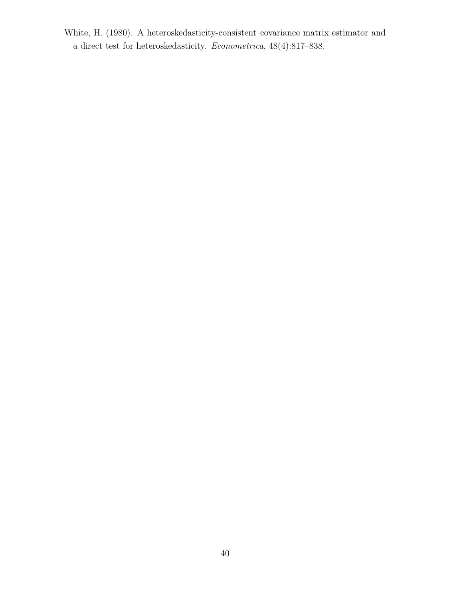White, H. (1980). A heteroskedasticity-consistent covariance matrix estimator and a direct test for heteroskedasticity. Econometrica, 48(4):817–838.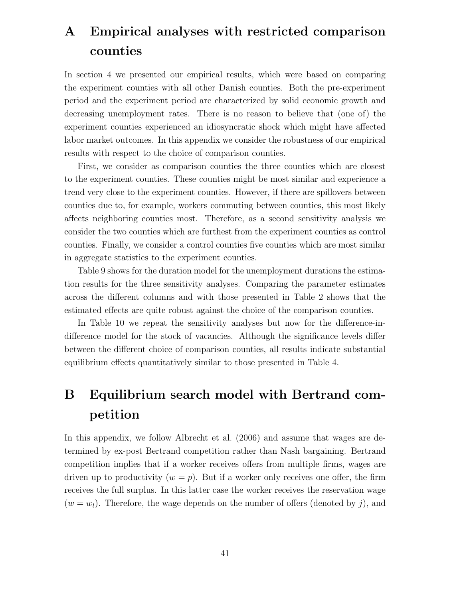# A Empirical analyses with restricted comparison counties

In section 4 we presented our empirical results, which were based on comparing the experiment counties with all other Danish counties. Both the pre-experiment period and the experiment period are characterized by solid economic growth and decreasing unemployment rates. There is no reason to believe that (one of) the experiment counties experienced an idiosyncratic shock which might have affected labor market outcomes. In this appendix we consider the robustness of our empirical results with respect to the choice of comparison counties.

First, we consider as comparison counties the three counties which are closest to the experiment counties. These counties might be most similar and experience a trend very close to the experiment counties. However, if there are spillovers between counties due to, for example, workers commuting between counties, this most likely affects neighboring counties most. Therefore, as a second sensitivity analysis we consider the two counties which are furthest from the experiment counties as control counties. Finally, we consider a control counties five counties which are most similar in aggregate statistics to the experiment counties.

Table 9 shows for the duration model for the unemployment durations the estimation results for the three sensitivity analyses. Comparing the parameter estimates across the different columns and with those presented in Table 2 shows that the estimated effects are quite robust against the choice of the comparison counties.

In Table 10 we repeat the sensitivity analyses but now for the difference-indifference model for the stock of vacancies. Although the significance levels differ between the different choice of comparison counties, all results indicate substantial equilibrium effects quantitatively similar to those presented in Table 4.

# B Equilibrium search model with Bertrand competition

In this appendix, we follow Albrecht et al.  $(2006)$  and assume that wages are determined by ex-post Bertrand competition rather than Nash bargaining. Bertrand competition implies that if a worker receives offers from multiple firms, wages are driven up to productivity  $(w = p)$ . But if a worker only receives one offer, the firm receives the full surplus. In this latter case the worker receives the reservation wage  $(w = w_l)$ . Therefore, the wage depends on the number of offers (denoted by j), and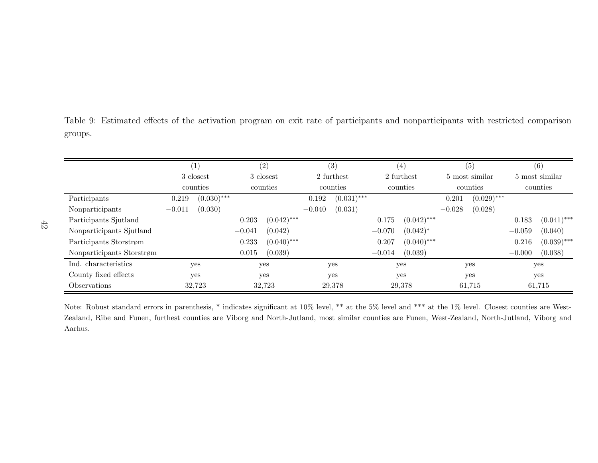Table 9: Estimated effects of the activation program on exit rate of participants and nonparticipants with restricted comparisongroups.

|                           |          | (1)           |          | (2)           |          | (3)           |          | $\left( 4\right)$ |          | (5)            |          | (6)            |
|---------------------------|----------|---------------|----------|---------------|----------|---------------|----------|-------------------|----------|----------------|----------|----------------|
|                           |          | 3 closest     |          | 3 closest     |          | 2 furthest    |          | 2 furthest        |          | 5 most similar |          | 5 most similar |
|                           |          | counties      |          | counties      |          | counties      |          | counties          |          | counties       |          | counties       |
| Participants              | 0.219    | $(0.030)$ *** |          |               | 0.192    | $(0.031)$ *** |          |                   | 0.201    | $(0.029)$ ***  |          |                |
| Nonparticipants           | $-0.011$ | (0.030)       |          |               | $-0.040$ | (0.031)       |          |                   | $-0.028$ | (0.028)        |          |                |
| Participants Sjutland     |          |               | 0.203    | $(0.042)$ *** |          |               | 0.175    | $(0.042)$ ***     |          |                | 0.183    | $(0.041)$ ***  |
| Nonparticipants Sjutland  |          |               | $-0.041$ | (0.042)       |          |               | $-0.070$ | $(0.042)^*$       |          |                | $-0.059$ | (0.040)        |
| Participants Storstrøm    |          |               | 0.233    | $(0.040)$ *** |          |               | 0.207    | $(0.040)$ ***     |          |                | 0.216    | $(0.039)$ ***  |
| Nonparticipants Storstrøm |          |               | 0.015    | (0.039)       |          |               | $-0.014$ | (0.039)           |          |                | $-0.000$ | (0.038)        |
| Ind. characteristics      |          | yes           |          | yes           |          | yes           |          | yes               |          | yes            |          | yes            |
| County fixed effects      |          | ves           |          | yes           |          | yes           |          | yes               |          | yes            |          | yes            |
| Observations              |          | 32,723        |          | 32,723        |          | 29,378        |          | 29,378            |          | 61,715         |          | 61,715         |

Note: Robust standard errors in parenthesis, \* indicates significant at 10% level, \*\* at the 5% level and \*\*\* at the 1% level. Closest counties are West-Zealand, Ribe and Funen, furthest counties are Viborg and North-Jutland, most similar counties are Funen, West-Zealand, North-Jutland, Viborg andAarhus.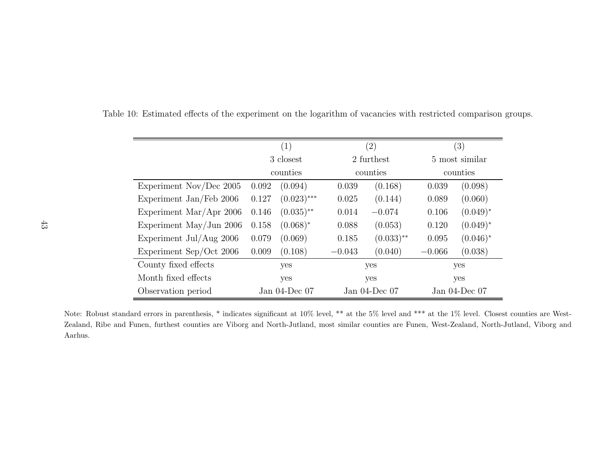|                           | (1)                |                         |          | $\left( 2\right)$  | (3)                |             |  |
|---------------------------|--------------------|-------------------------|----------|--------------------|--------------------|-------------|--|
|                           |                    | 3 closest               |          | 2 furthest         | 5 most similar     |             |  |
|                           |                    | counties                |          | counties           | counties           |             |  |
| Experiment Nov/Dec $2005$ | 0.092              | (0.094)                 | 0.039    | (0.168)            | 0.039              | (0.098)     |  |
| Experiment Jan/Feb 2006   | 0.127              | $(0.023)$ ***           | 0.025    | (0.144)            | 0.089              | (0.060)     |  |
| Experiment Mar/Apr $2006$ | 0.146              | $(0.035)$ <sup>**</sup> | 0.014    | $-0.074$           | 0.106              | $(0.049)^*$ |  |
| Experiment May/Jun $2006$ | 0.158              | $(0.068)^*$             | 0.088    | (0.053)            | 0.120              | $(0.049)^*$ |  |
| Experiment Jul/Aug $2006$ | 0.079              | (0.069)                 | 0.185    | $(0.033)$ **       | 0.095              | $(0.046)^*$ |  |
| Experiment Sep/Oct 2006   | 0.009              | (0.108)                 | $-0.043$ | (0.040)            | $-0.066$           | (0.038)     |  |
| County fixed effects      | yes                |                         | yes      |                    | yes                |             |  |
| Month fixed effects       | yes                |                         | yes      |                    | yes                |             |  |
| Observation period        | Jan $04$ -Dec $07$ |                         |          | Jan $04$ -Dec $07$ | Jan $04$ -Dec $07$ |             |  |

Table 10: Estimated effects of the experiment on the logarithm of vacancies with restricted comparison groups.

Note: Robust standard errors in parenthesis, \* indicates significant at 10% level, \*\* at the 5% level and \*\*\* at the 1% level. Closest counties are West-Zealand, Ribe and Funen, furthest counties are Viborg and North-Jutland, most similar counties are Funen, West-Zealand, North-Jutland, Viborg andAarhus.